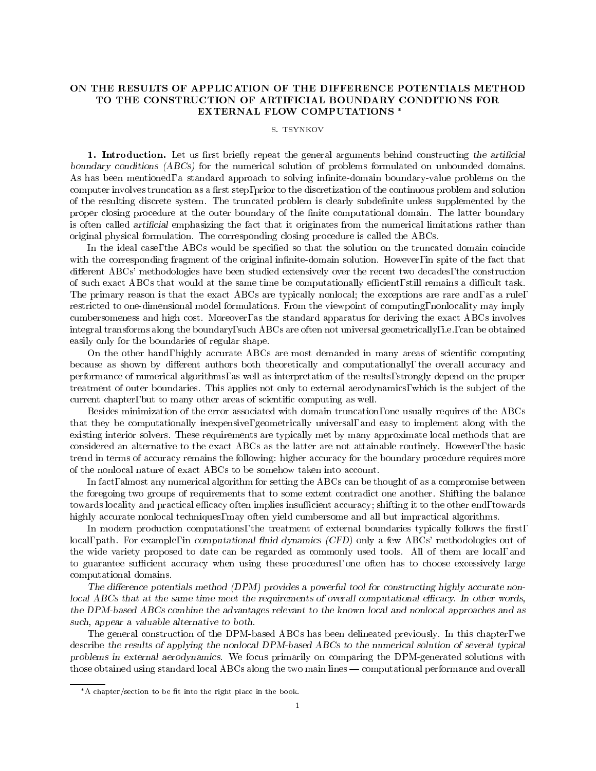# ON THE RESULTS OF APPLICATION OF THE DIFFERENCE POTENTIALS METHOD TO THE CONSTRUCTION OF ARTIFICIAL BOUNDARY CONDITIONS FOR EXTERNAL FLOW COMPUTATIONS

### S. TSYNKOV

1. Introduction. Let us first briefly repeat the general arguments behind constructing the artificial boundary conditions (ABCs) for the numerical solution of problems formulated on unbounded domains. As has been mentioned, a standard approach to solving infinite-domain boundary-value problems on the computer involves truncation as a first step, prior to the discretization of the continuous problem and solution of the resulting discrete system. The truncated problem is clearly subdefinite unless supplemented by the proper closing procedure at the outer boundary of the finite computational domain. The latter boundary is often called artificial emphasizing the fact that it originates from the numerical limitations rather than original physical formulation. The corresponding closing procedure is called the ABCs.

In the ideal case, the ABCs would be specified so that the solution on the truncated domain coincide with the corresponding fragment of the original infinite-domain solution. However, in spite of the fact that different ABCs' methodologies have been studied extensively over the recent two decades, the construction of such exact ABCs that would at the same time be computationally efficient, still remains a difficult task. The primary reason is that the exact ABCs are typically nonlocal; the exceptions are rare and, as a rule, restricted to one-dimensional model formulations. From the viewpoint of computing, nonlocality may imply cumbersomeness and high cost. Moreover, as the standard apparatus for deriving the exact ABCs involves integral transforms along the boundary, such ABCs are often not universal geometrically, i.e., can be obtained easily only for the boundaries of regular shape.

On the other hand, highly accurate ABCs are most demanded in many areas of scientic computing because as shown by different authors both theoretically and computationally, the overall accuracy and performance of numerical algorithms, as well as interpretation of the results, strongly depend on the proper treatment of outer boundaries. This applies not only to external aerodynamics, which is the sub ject of the current chapter, but to many other areas of scientific computing as well.

Besides minimization of the error associated with domain truncation, one usually requires of the ABCs that they be computationally inexpensive, geometrically universal, and easy to implement along with the existing interior solvers. These requirements are typically met by many approximate local methods that are considered an alternative to the exact ABCs as the latter are not attainable routinely. However, the basic trend in terms of accuracy remains the following: higher accuracy for the boundary procedure requires more of the nonlocal nature of exact ABCs to be somehow taken into account.

In fact, almost any numerical algorithm for setting the ABCs can be thought of as a compromise between the foregoing two groups of requirements that to some extent contradict one another. Shifting the balance towards locality and practical efficacy often implies insufficient accuracy; shifting it to the other end, towards highly accurate nonlocal techniques, may often yield cumbersome and all but impractical algorithms.

In modern production computations, the treatment of external boundaries typically follows the first, local, path. For example, in computational fluid dynamics (CFD) only a few ABCs' methodologies out of the wide variety proposed to date can be regarded as commonly used tools. All of them are local, and to guarantee sufficient accuracy when using these procedures, one often has to choose excessively large computational domains.

The difference potentials method (DPM) provides a powerful tool for constructing highly accurate nonlocal ABCs that at the same time meet the requirements of overall computational efficacy. In other words, the DPM-based ABCs combine the advantages relevant to the known local and nonlocal approaches and as such, appear a valuable alternative to both.

The general construction of the DPM-based ABCs has been delineated previously. In this chapter, we describe the results of applying the nonlocal DPM-based ABCs to the numerical solution of several typical problems in external aerodynamics. We focus primarily on comparing the DPM-generated solutions with those obtained using standard local ABCs along the two main lines — computational performance and overall

<sup>\*</sup>A chapter/section to be fit into the right place in the book.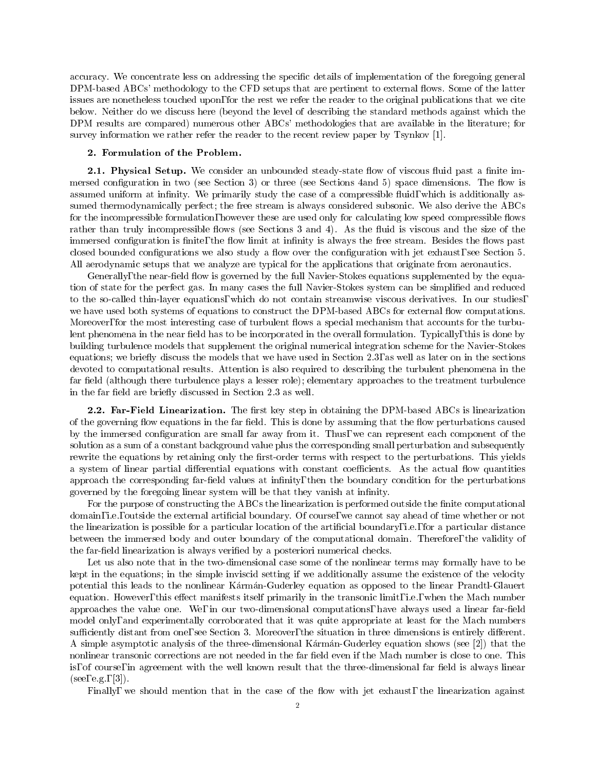accuracy. We concentrate less on addressing the specific details of implementation of the foregoing general DPM-based ABCs' methodology to the CFD setups that are pertinent to external flows. Some of the latter issues are nonetheless touched upon, for the rest we refer the reader to the original publications that we cite below. Neither do we discuss here (beyond the level of describing the standard methods against which the DPM results are compared) numerous other ABCs' methodologies that are available in the literature; for survey information we rather refer the reader to the recent review paper by Tsynkov [1].

### 2. Formulation of the Problem.

2.1. Physical Setup. We consider an unbounded steady-state flow of viscous fluid past a finite immersed configuration in two (see Section 3) or three (see Sections 4 and 5) space dimensions. The flow is assumed uniform at infinity. We primarily study the case of a compressible fluid, which is additionally assumed thermodynamically perfect; the free stream is always considered subsonic. We also derive the ABCs for the incompressible formulation, however these are used only for calculating low speed compressible flows rather than truly incompressible flows (see Sections 3 and 4). As the fluid is viscous and the size of the immersed configuration is finite, the flow limit at infinity is always the free stream. Besides the flows past closed bounded configurations we also study a flow over the configuration with jet exhaust, see Section 5. All aerodynamic setups that we analyze are typical for the applications that originate from aeronautics.

Generally, the near-field flow is governed by the full Navier-Stokes equations supplemented by the equation of state for the perfect gas. In many cases the full Navier-Stokes system can be simplied and reduced to the so-called thin-layer equations, which do not contain streamwise viscous derivatives. In our studies, we have used both systems of equations to construct the DPM-based ABCs for external flow computations. Moreover, for the most interesting case of turbulent flows a special mechanism that accounts for the turbulent phenomena in the near field has to be incorporated in the overall formulation. Typically, this is done by building turbulence models that supplement the original numerical integration scheme for the Navier-Stokes equations; we briefly discuss the models that we have used in Section 2.3, as well as later on in the sections devoted to computational results. Attention is also required to describing the turbulent phenomena in the far field (although there turbulence plays a lesser role); elementary approaches to the treatment turbulence in the far field are briefly discussed in Section 2.3 as well.

2.2. Far-Field Linearization. The first key step in obtaining the DPM-based ABCs is linearization of the governing flow equations in the far field. This is done by assuming that the flow perturbations caused by the immersed configuration are small far away from it. Thus, we can represent each component of the solution as a sum of a constant background value plus the corresponding small perturbation and subsequently rewrite the equations by retaining only the first-order terms with respect to the perturbations. This yields a system of linear partial differential equations with constant coefficients. As the actual flow quantities approach the corresponding far-field values at infinity, then the boundary condition for the perturbations governed by the foregoing linear system will be that they vanish at infinity.

For the purpose of constructing the ABCs the linearization is performed outside the finite computational domain, i.e., outside the external artificial boundary. Of course, we cannot say ahead of time whether or not the linearization is possible for a particular location of the articial boundary, i.e., for a particular distance between the immersed body and outer boundary of the computational domain. Therefore, the validity of the far-field linearization is always verified by a posteriori numerical checks.

Let us also note that in the two-dimensional case some of the nonlinear terms may formally have to be kept in the equations; in the simple inviscid setting if we additionally assume the existence of the velocity potential this leads to the nonlinear Karman-Guderley equation as opposed to the linear Prandtl-Glauert equation. However, this effect manifests itself primarily in the transonic limit, i.e., when the Mach number approaches the value one. We, in our two-dimensional computations, have always used a linear far-field model only, and experimentally corroborated that it was quite appropriate at least for the Mach numbers sufficiently distant from one, see Section 3. Moreover, the situation in three dimensions is entirely different. A simple asymptotic analysis of the three-dimensional Karman-Guderley equation shows (see [2]) that the nonlinear transonic corrections are not needed in the far field even if the Mach number is close to one. This is, of course, in agreement with the well known result that the three-dimensional far field is always linear (see, e.g.,  $[3]$ ).

Finally, we should mention that in the case of the flow with jet exhaust, the linearization against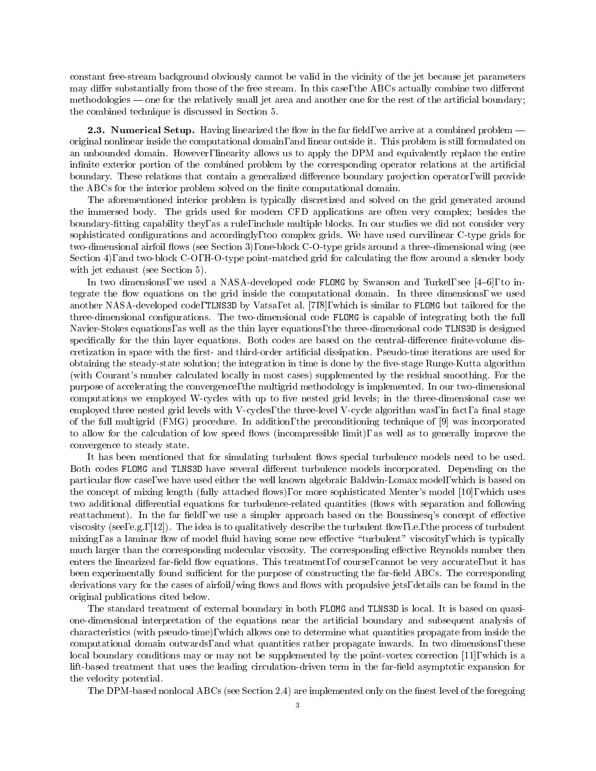constant free-stream background obviously cannot be valid in the vicinity of the jet because jet parameters may differ substantially from those of the free stream. In this case, the ABCs actually combine two different methodologies — one for the relatively small jet area and another one for the rest of the artificial boundary; the combined technique is discussed in Section 5.

**2.3. Numerical Setup.** Having linearized the flow in the far field, we arrive at a combined problem  $$ original nonlinear inside the computational domain, and linear outside it. This problem is still formulated on an unbounded domain. However, linearity allows us to apply the DPM and equivalently replace the entire infinite exterior portion of the combined problem by the corresponding operator relations at the artificial boundary. These relations that contain a generalized difference boundary projection operator, will provide the ABCs for the interior problem solved on the finite computational domain.

The aforementioned interior problem is typically discretized and solved on the grid generated around the immersed body. The grids used for modern CFD applications are often very complex; besides the boundary-fitting capability they, as a rule, include multiple blocks. In our studies we did not consider very sophisticated configurations and accordingly, too complex grids. We have used curvilinear C-type grids for two-dimensional airfoil flows (see Section 3), one-block C-O-type grids around a three-dimensional wing (see Section 4), and two-block C-O,  $H$ -O-type point-matched grid for calculating the flow around a slender body with jet exhaust (see Section 5).

In two dimensions, we used a NASA-developed code FLOMG by Swanson and Turkel, see  $[4–6]$ , to integrate the flow equations on the grid inside the computational domain. In three dimensions, we used another NASA-developed code, TLNS3D by Vatsa, et al. [7, 8], which is similar to FLOMG but tailored for the three-dimensional congurations. The two-dimensional code FLOMG is capable of integrating both the full Navier-Stokes equations, as well as the thin layer equations, the three-dimensional code TLNS3D is designed specifically for the thin layer equations. Both codes are based on the central-difference finite-volume discretization in space with the first- and third-order artificial dissipation. Pseudo-time iterations are used for obtaining the steady-state solution; the integration in time is done by the five-stage Runge-Kutta algorithm (with Courant's number calculated locally in most cases) supplemented by the residual smoothing. For the purpose of accelerating the convergence, the multigrid methodology is implemented. In our two-dimensional computations we employed W-cycles with up to five nested grid levels; in the three-dimensional case we employed three nested grid levels with V-cycles, the three-level V-cycle algorithm was, in fact, a final stage of the full multigrid (FMG) procedure. In addition, the preconditioning technique of [9] was incorporated to allow for the calculation of low speed flows (incompressible limit), as well as to generally improve the convergence to steady state.

It has been mentioned that for simulating turbulent flows special turbulence models need to be used. Both codes FLOMG and TLNS3D have several different turbulence models incorporated. Depending on the particular flow case, we have used either the well known algebraic Baldwin-Lomax model, which is based on the concept of mixing length (fully attached flows), or more sophisticated Menter's model [10], which uses two additional differential equations for turbulence-related quantities (flows with separation and following reattachment). In the far field, we use a simpler approach based on the Boussinesq's concept of effective viscosity (see, e.g.,  $[12]$ ). The idea is to qualitatively describe the turbulent flow, i.e., the process of turbulent mixing, as a laminar flow of model fluid having some new effective "turbulent" viscosity, which is typically much larger than the corresponding molecular viscosity. The corresponding effective Reynolds number then enters the linearized far-field flow equations. This treatment, of course, cannot be very accurate, but it has been experimentally found sufficient for the purpose of constructing the far-field ABCs. The corresponding derivations vary for the cases of airfoil/wing flows and flows with propulsive jets, details can be found in the original publications cited below.

The standard treatment of external boundary in both FLOMG and TLNS3D is local. It is based on quasione-dimensional interpretation of the equations near the articial boundary and subsequent analysis of characteristics (with pseudo-time), which allows one to determine what quantities propagate from inside the computational domain outwards, and what quantities rather propagate inwards. In two dimensions, these local boundary conditions may or may not be supplemented by the point-vortex correction [11], which is a lift-based treatment that uses the leading circulation-driven term in the far-field asymptotic expansion for the velocity potential.

The DPM-based nonlocal ABCs (see Section 2.4) are implemented only on the finest level of the foregoing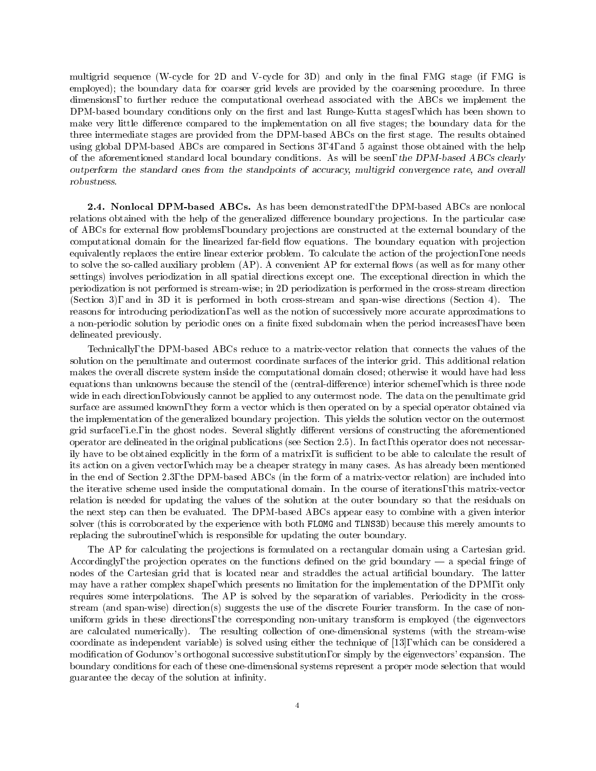multigrid sequence (W-cycle for 2D and V-cycle for 3D) and only in the final FMG stage (if FMG is employed); the boundary data for coarser grid levels are provided by the coarsening procedure. In three dimensions, to further reduce the computational overhead associated with the ABCs we implement the DPM-based boundary conditions only on the first and last Runge-Kutta stages, which has been shown to make very little difference compared to the implementation on all five stages; the boundary data for the three intermediate stages are provided from the DPM-based ABCs on the first stage. The results obtained using global DPM-based ABCs are compared in Sections 3, 4, and 5 against those obtained with the help of the aforementioned standard local boundary conditions. As will be seen, the DPM-based ABCs clearly outperform the standard ones from the standpoints of accuracy, multigrid convergence rate, and overall robustness.

2.4. Nonlocal DPM-based ABCs. As has been demonstrated, the DPM-based ABCs are nonlocal relations obtained with the help of the generalized difference boundary projections. In the particular case of ABCs for external flow problems, boundary projections are constructed at the external boundary of the computational domain for the linearized far-field flow equations. The boundary equation with projection equivalently replaces the entire linear exterior problem. To calculate the action of the projection, one needs to solve the so-called auxiliary problem (AP). A convenient AP for external flows (as well as for many other settings) involves periodization in all spatial directions except one. The exceptional direction in which the periodization is not performed is stream-wise; in 2D periodization is performed in the cross-stream direction (Section 3), and in 3D it is performed in both cross-stream and span-wise directions (Section 4). The reasons for introducing periodization, as well as the notion of successively more accurate approximations to a non-periodic solution by periodic ones on a finite fixed subdomain when the period increases, have been delineated previously.

Technically, the DPM-based ABCs reduce to a matrix-vector relation that connects the values of the solution on the penultimate and outermost coordinate surfaces of the interior grid. This additional relation makes the overall discrete system inside the computational domain closed; otherwise it would have had less equations than unknowns because the stencil of the (central-difference) interior scheme, which is three node wide in each direction, obviously cannot be applied to any outermost node. The data on the penultimate grid surface are assumed known, they form a vector which is then operated on by a special operator obtained via the implementation of the generalized boundary pro jection. This yields the solution vector on the outermost grid surface, i.e., in the ghost nodes. Several slightly different versions of constructing the aforementioned operator are delineated in the original publications (see Section 2.5). In fact, this operator does not necessarily have to be obtained explicitly in the form of a matrix, it is sufficient to be able to calculate the result of its action on a given vector, which may be a cheaper strategy in many cases. As has already been mentioned in the end of Section 2.3, the DPM-based ABCs (in the form of a matrix-vector relation) are included into the iterative scheme used inside the computational domain. In the course of iterations, this matrix-vector relation is needed for updating the values of the solution at the outer boundary so that the residuals on the next step can then be evaluated. The DPM-based ABCs appear easy to combine with a given interior solver (this is corroborated by the experience with both FLOMG and TLNS3D) because this merely amounts to replacing the subroutine, which is responsible for updating the outer boundary.

The AP for calculating the projections is formulated on a rectangular domain using a Cartesian grid. Accordingly, the projection operates on the functions defined on the grid boundary  $-$  a special fringe of nodes of the Cartesian grid that is located near and straddles the actual articial boundary. The latter may have a rather complex shape, which presents no limitation for the implementation of the DPM, it only requires some interpolations. The AP is solved by the separation of variables. Periodicity in the crossstream (and span-wise) direction(s) suggests the use of the discrete Fourier transform. In the case of nonuniform grids in these directions, the corresponding non-unitary transform is employed (the eigenvectors are calculated numerically). The resulting collection of one-dimensional systems (with the stream-wise coordinate as independent variable) is solved using either the technique of [13], which can be considered a modication of Godunov's orthogonal successive substitution, or simply by the eigenvectors' expansion. The boundary conditions for each of these one-dimensional systems represent a proper mode selection that would guarantee the decay of the solution at innity.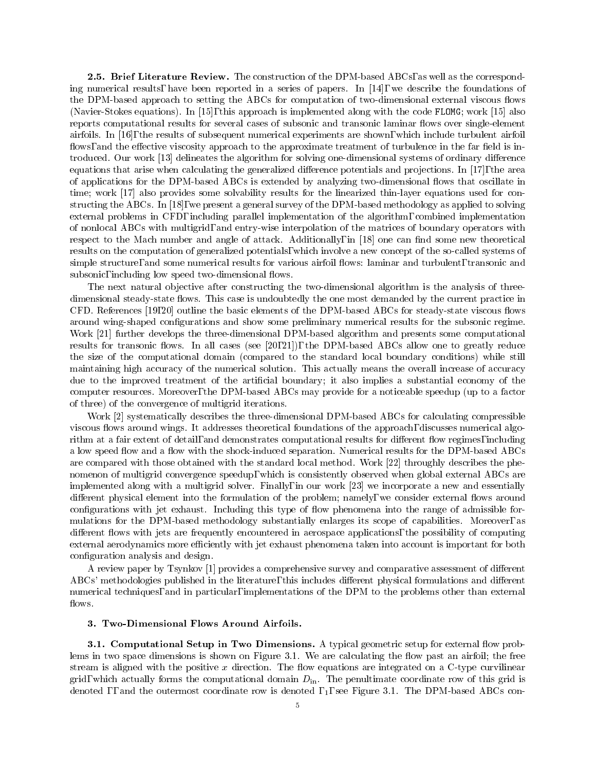2.5. Brief Literature Review. The construction of the DPM-based ABCs, as well as the corresponding numerical results, have been reported in a series of papers. In [14], we describe the foundations of the DPM-based approach to setting the ABCs for computation of two-dimensional external viscous flows (Navier-Stokes equations). In [15], this approach is implemented along with the code FLOMG; work [15] also reports computational results for several cases of subsonic and transonic laminar flows over single-element airfoils. In [16], the results of subsequent numerical experiments are shown, which include turbulent airfoil flows, and the effective viscosity approach to the approximate treatment of turbulence in the far field is introduced. Our work [13] delineates the algorithm for solving one-dimensional systems of ordinary difference equations that arise when calculating the generalized difference potentials and projections. In  $[17]$ , the area of applications for the DPM-based ABCs is extended by analyzing two-dimensional flows that oscillate in time; work [17] also provides some solvability results for the linearized thin-layer equations used for constructing the ABCs. In [18], we present a general survey of the DPM-based methodology as applied to solving external problems in CFD, including parallel implementation of the algorithm, combined implementation of nonlocal ABCs with multigrid, and entry-wise interpolation of the matrices of boundary operators with respect to the Mach number and angle of attack. Additionally, in [18] one can find some new theoretical results on the computation of generalized potentials, which involve a new concept of the so-called systems of simple structure, and some numerical results for various airfoil flows: laminar and turbulent, transonic and subsonic, including low speed two-dimensional flows.

The next natural objective after constructing the two-dimensional algorithm is the analysis of threedimensional steady-state flows. This case is undoubtedly the one most demanded by the current practice in CFD. References [19, 20] outline the basic elements of the DPM-based ABCs for steady-state viscous flows around wing-shaped configurations and show some preliminary numerical results for the subsonic regime. Work [21] further develops the three-dimensional DPM-based algorithm and presents some computational results for transonic flows. In all cases (see  $[20, 21]$ ), the DPM-based ABCs allow one to greatly reduce the size of the computational domain (compared to the standard local boundary conditions) while still maintaining high accuracy of the numerical solution. This actually means the overall increase of accuracy due to the improved treatment of the artificial boundary; it also implies a substantial economy of the computer resources. Moreover, the DPM-based ABCs may provide for a noticeable speedup (up to a factor of three) of the convergence of multigrid iterations.

Work [2] systematically describes the three-dimensional DPM-based ABCs for calculating compressible viscous flows around wings. It addresses theoretical foundations of the approach, discusses numerical algorithm at a fair extent of detail, and demonstrates computational results for different flow regimes, including a low speed flow and a flow with the shock-induced separation. Numerical results for the DPM-based ABCs are compared with those obtained with the standard local method. Work [22] throughly describes the phenomenon of multigrid convergence speedup, which is consistently observed when global external ABCs are implemented along with a multigrid solver. Finally, in our work [23] we incorporate a new and essentially different physical element into the formulation of the problem; namely, we consider external flows around configurations with jet exhaust. Including this type of flow phenomena into the range of admissible formulations for the DPM-based methodology substantially enlarges its scope of capabilities. Moreover, as different flows with jets are frequently encountered in aerospace applications, the possibility of computing external aerodynamics more efficiently with jet exhaust phenomena taken into account is important for both conguration analysis and design.

A review paper by Tsynkov [1] provides a comprehensive survey and comparative assessment of different ABCs' methodologies published in the literature, this includes different physical formulations and different numerical techniques, and in particular, implementations of the DPM to the problems other than external

#### 3. Two-Dimensional Flows Around Airfoils.

**3.1. Computational Setup in Two Dimensions.** A typical geometric setup for external flow problems in two space dimensions is shown on Figure 3.1. We are calculating the flow past an airfoil; the free stream is aligned with the positive  $x$  direction. The flow equations are integrated on a C-type curvilinear grid, which actually forms the computational domain  $D_{\text{in}}$ . The penultimate coordinate row of this grid is denoted , , and the outermost coordinate row is denoted ,  $_1$ , see Figure 3.1. The DPM-based ABCs con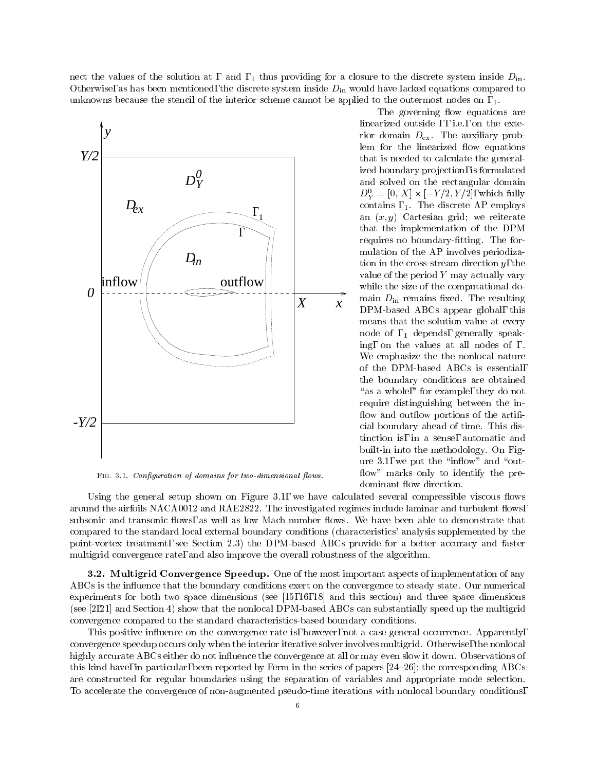nect the values of the solution at, and,  $_1$  thus providing for a closure to the discrete system inside  $D_{\text{in}}$ . Otherwise, as has been mentioned, the discrete system inside  $D_{\text{in}}$  would have lacked equations compared to unknowns because the stencil of the interior scheme cannot be applied to the outermost nodes on  $, 1$ .



FIG. 3.1. Configuration of domains for two-dimensional flows.

Using the general setup shown on Figure 3.1, we have calculated several compressible viscous flows around the airfoils NACA0012 and RAE2822. The investigated regimes include laminar and turbulent flows. subsonic and transonic flows, as well as low Mach number flows. We have been able to demonstrate that compared to the standard local external boundary conditions (characteristics' analysis supplemented by the point-vortex treatment, see Section 2.3) the DPM-based ABCs provide for a better accuracy and faster multigrid convergence rate, and also improve the overall robustness of the algorithm.

3.2. Multigrid Convergence Speedup. One of the most important aspects of implementation of any ABCs is the influence that the boundary conditions exert on the convergence to steady state. Our numerical experiments for both two space dimensions (see [15, 16, 18] and this section) and three space dimensions (see [2, 21] and Section 4) show that the nonlocal DPM-based ABCs can substantially speed up the multigrid convergence compared to the standard characteristics-based boundary conditions.

This positive influence on the convergence rate is, however, not a case general occurrence. Apparently, convergence speedup occurs only when the interior iterative solver involves multigrid. Otherwise, the nonlocal highly accurate ABCs either do not influence the convergence at all or may even slow it down. Observations of this kind have, in particular, been reported by Ferm in the series of papers  $[24–26]$ ; the corresponding ABCs are constructed for regular boundaries using the separation of variables and appropriate mode selection. To accelerate the convergence of non-augmented pseudo-time iterations with nonlocal boundary conditions,

The governing flow equations are linearized outside , i.e., on the exterior domain  $D_{\text{ex}}$ . The auxiliary problem for the linearized flow equations that is needed to calculate the generalized boundary projection, is formulated and solved on the rectangular domain  $D_Y = [0, \Lambda] \times [-Y/2, Y/2],$  which fully contains  $, 1$ . The discrete AP employs an  $(x, y)$  Cartesian grid; we reiterate that the implementation of the DPM requires no boundary-fitting. The formulation of the AP involves periodization in the cross-stream direction  $y$ , the value of the period <sup>Y</sup> may actually vary while the size of the computational domain  $D_{\text{in}}$  remains fixed. The resulting DPM-based ABCs appear global, this means that the solution value at every node of  $, 1$  depends, generally speaking, on the values at all nodes of,. We emphasize the the nonlocal nature of the DPM-based ABCs is essential, the boundary conditions are obtained "as a whole," for example, they do not require distinguishing between the in flow and outflow portions of the artificial boundary ahead of time. This distinction is, in a sense, automatic and built-in into the methodology. On Figure 3.1, we put the "inflow" and "outflow" marks only to identify the predominant flow direction.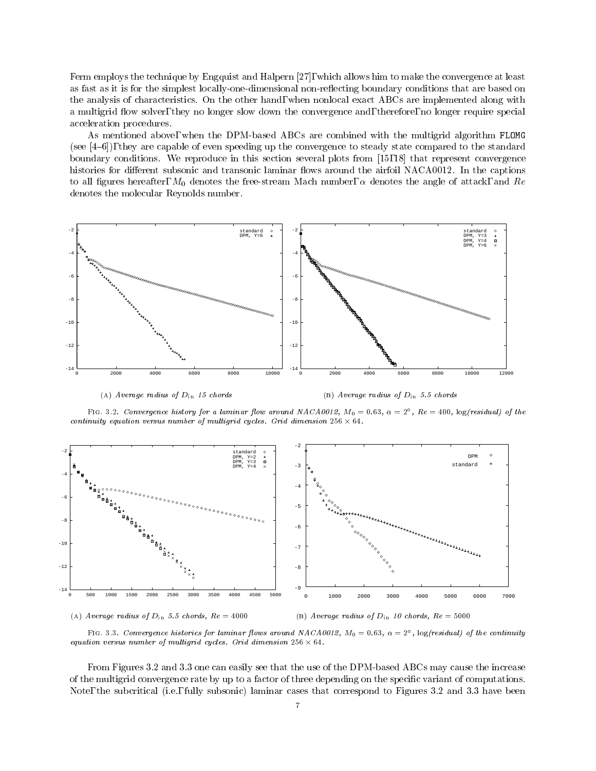Ferm employs the technique by Engquist and Halpern [27], which allows him to make the convergence at least as fast as it is for the simplest locally-one-dimensional non-reflecting boundary conditions that are based on the analysis of characteristics. On the other hand, when nonlocal exact ABCs are implemented along with a multigrid flow solver, they no longer slow down the convergence and, therefore, no longer require special acceleration procedures.

As mentioned above, when the DPM-based ABCs are combined with the multigrid algorithm FLOMG (see  $[4–6]$ ), they are capable of even speeding up the convergence to steady state compared to the standard boundary conditions. We reproduce in this section several plots from [15, 18] that represent convergence histories for different subsonic and transonic laminar flows around the airfoil NACA0012. In the captions to all figures hereafter,  $M_0$  denotes the free-stream Mach number,  $\alpha$  denotes the angle of attack, and Re denotes the molecular Reynolds number.



 $F$ ig. 3.2. Convergence history for a laminar flow around NACA0012,  $M_0 = 0.65$ ,  $\alpha = 2^{\circ}$ ,  $\kappa e = 400$ , log{residual} of the continuity equation versus number of multigrid cycles. Grid dimension  $d$  and  $d$  and  $d$  dimension  $d$  and  $d$  dimension  $d$  dimension  $d$  dimension  $d$  dimension  $d$  dimension  $d$  dimension  $d$  dimension  $d$  dimension  $d$ 



 $\Gamma$ ig. 5.3. Convergence histories for laminar flows around  $NACAVO1Z$ ,  $M_0 = 0.63$ ,  $\alpha = 2^\circ$ , log(residual) of the continuity equation versus number of multigrid cycles. Grid dimension 256 - 64.

From Figures 3.2 and 3.3 one can easily see that the use of the DPM-based ABCs may cause the increase of the multigrid convergence rate by up to a factor of three depending on the specific variant of computations. Note, the subcritical (i.e., fully subsonic) laminar cases that correspond to Figures 3.2 and 3.3 have been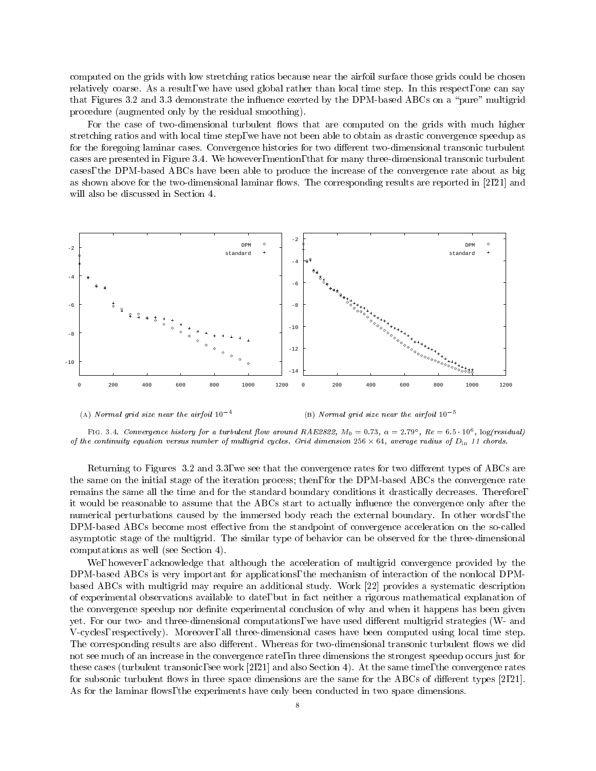computed on the grids with low stretching ratios because near the airfoil surface those grids could be chosen relatively coarse. As a result, we have used global rather than local time step. In this respect, one can say that Figures 3.2 and 3.3 demonstrate the influence exerted by the DPM-based ABCs on a "pure" multigrid procedure (augmented only by the residual smoothing).

For the case of two-dimensional turbulent flows that are computed on the grids with much higher stretching ratios and with local time step, we have not been able to obtain as drastic convergence speedup as for the foregoing laminar cases. Convergence histories for two different two-dimensional transonic turbulent cases are presented in Figure 3.4. We however, mention, that for many three-dimensional transonic turbulent cases, the DPM-based ABCs have been able to produce the increase of the convergence rate about as big as shown above for the two-dimensional laminar flows. The corresponding results are reported in  $[2, 21]$  and will also be discussed in Section 4.



(A) Normal grid size near the airfoil  $10^{-4}$ (b) Normal grid size near the airfoil  $10^{-5}$ 

FIG. 3.4. Convergence history for a turbulent flow around  $RABZ \delta ZZ$ ,  $M_0 = 0.73$ ,  $\alpha = 2.79^\circ$ ,  $Re = 0.5^\circ$  10°, 10g/residual) of the continuity equation versus number of multigrid cycles. Grid dimension 256 - 64, average radius of Din 11 chords.

Returning to Figures 3.2 and 3.3, we see that the convergence rates for two different types of ABCs are the same on the initial stage of the iteration process; then, for the DPM-based ABCs the convergence rate remains the same all the time and for the standard boundary conditions it drastically decreases. Therefore, it would be reasonable to assume that the ABCs start to actually in
uence the convergence only after the numerical perturbations caused by the immersed body reach the external boundary. In other words, the DPM-based ABCs become most effective from the standpoint of convergence acceleration on the so-called asymptotic stage of the multigrid. The similar type of behavior can be observed for the three-dimensional computations as well (see Section 4).

We, however, acknowledge that although the acceleration of multigrid convergence provided by the DPM-based ABCs is very important for applications, the mechanism of interaction of the nonlocal DPMbased ABCs with multigrid may require an additional study. Work [22] provides a systematic description of experimental observations available to date, but in fact neither a rigorous mathematical explanation of the convergence speedup nor definite experimental conclusion of why and when it happens has been given yet. For our two- and three-dimensional computations, we have used different multigrid strategies (W- and V-cycles, respectively). Moreover, all three-dimensional cases have been computed using local time step. The corresponding results are also different. Whereas for two-dimensional transonic turbulent flows we did not see much of an increase in the convergence rate, in three dimensions the strongest speedup occurs just for these cases (turbulent transonic, see work [2,21] and also Section 4). At the same time, the convergence rates for subsonic turbulent flows in three space dimensions are the same for the ABCs of different types  $[2, 21]$ . As for the laminar flows, the experiments have only been conducted in two space dimensions.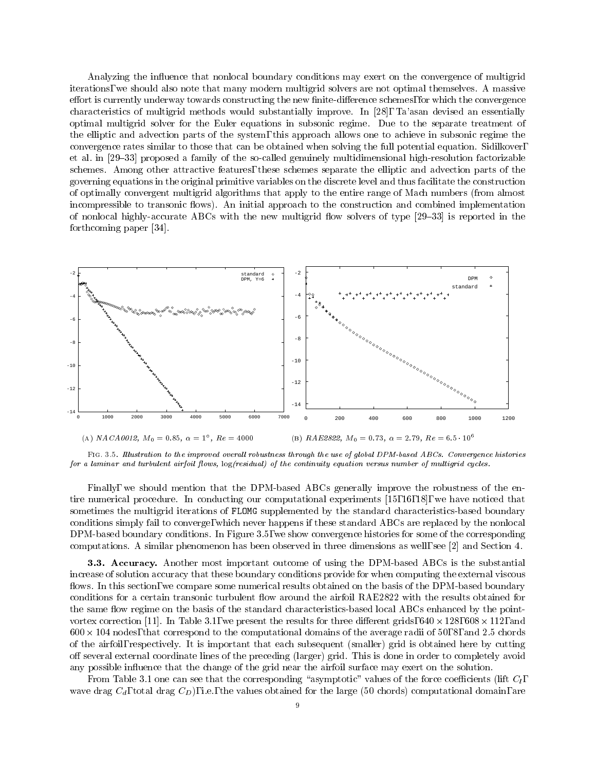Analyzing the influence that nonlocal boundary conditions may exert on the convergence of multigrid iterations, we should also note that many modern multigrid solvers are not optimal themselves. A massive effort is currently underway towards constructing the new finite-difference schemes, for which the convergence characteristics of multigrid methods would substantially improve. In [28], Ta'asan devised an essentially optimal multigrid solver for the Euler equations in subsonic regime. Due to the separate treatment of the elliptic and advection parts of the system, this approach allows one to achieve in subsonic regime the convergence rates similar to those that can be obtained when solving the full potential equation. Sidilkover, et al. in [29–33] proposed a family of the so-called genuinely multidimensional high-resolution factorizable schemes. Among other attractive features, these schemes separate the elliptic and advection parts of the governing equations in the original primitive variables on the discrete level and thus facilitate the construction of optimally convergent multigrid algorithms that apply to the entire range of Mach numbers (from almost incompressible to transonic flows). An initial approach to the construction and combined implementation of nonlocal highly-accurate ABCs with the new multigrid flow solvers of type [29–33] is reported in the forthcoming paper [34].



FIG. 3.5. Illustration to the improved overall robustness through the use of global DPM-based ABCs. Convergence histories for a laminar and turbulent airfoil flows,  $log(residual)$  of the continuity equation versus number of multigrid cycles.

Finally, we should mention that the DPM-based ABCs generally improve the robustness of the entire numerical procedure. In conducting our computational experiments [15, 16, 18], we have noticed that sometimes the multigrid iterations of FLOMG supplemented by the standard characteristics-based boundary conditions simply fail to converge, which never happens if these standard ABCs are replaced by the nonlocal DPM-based boundary conditions. In Figure 3.5, we show convergence histories for some of the corresponding computations. A similar phenomenon has been observed in three dimensions as well, see [2] and Section 4.

3.3. Accuracy. Another most important outcome of using the DPM-based ABCs is the substantial increase of solution accuracy that these boundary conditions provide for when computing the external viscous flows. In this section, we compare some numerical results obtained on the basis of the DPM-based boundary conditions for a certain transonic turbulent flow around the airfoil RAE2822 with the results obtained for the same flow regime on the basis of the standard characteristics-based local ABCs enhanced by the pointvortex correction [11]. In Table 3.1, we present the results for the complete grids, 640  $\sim$  128, 608  $\sim$ 600 - 104 nodes, that correspond to the computational domains of the average radii of 50, 8, and 2.5 chords of the airfoil, respectively. It is important that each subsequent (smaller) grid is obtained here by cutting off several external coordinate lines of the preceding (larger) grid. This is done in order to completely avoid any possible influence that the change of the grid near the airfoil surface may exert on the solution.

From Table 3.1 one can see that the corresponding "asymptotic" values of the force coefficients (lift  $C_l$ , wave drag  $C_d$ , total drag  $C_D$ ), i.e., the values obtained for the large (50 chords) computational domain, are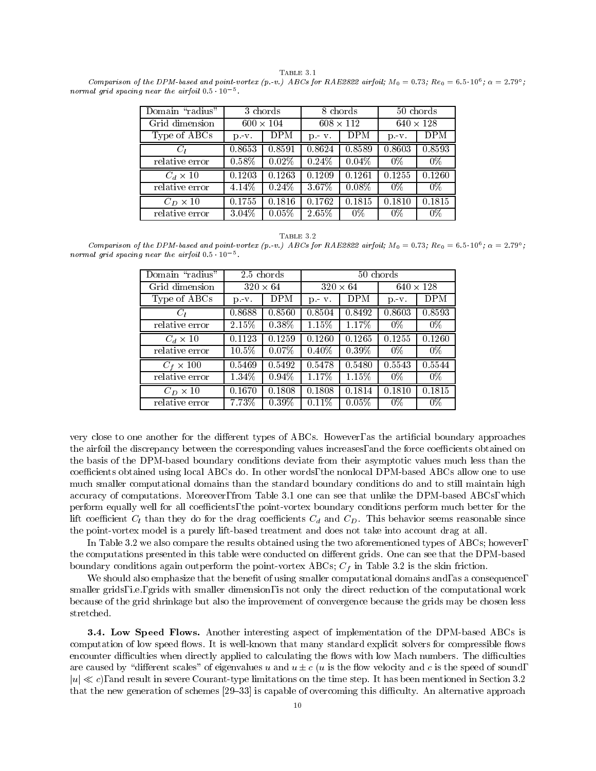TABLE 3.1

Comparison of the DPM-based and point-vortex  $(p - v)$  ABCs for RAE2822 airfoil;  $M_0 = 0.15$ ; Re $_0 = 0.5$  10  $\pm \alpha = 2.19$ ; ; normal grid spacing near the airfoil 0:5 TU

| Domain "radius" | 3 chords         |            | 8 chords         |            | 50 chords        |            |
|-----------------|------------------|------------|------------------|------------|------------------|------------|
| Grid dimension  | $600 \times 104$ |            | $608 \times 112$ |            | $640 \times 128$ |            |
| Type of ABCs    | $p - v$ .        | <b>DPM</b> | $p - v$ .        | <b>DPM</b> | $p - v$ .        | <b>DPM</b> |
| $C_{l}$         | 0.8653           | 0.8591     | 0.8624           | 0.8589     | 0.8603           | 0.8593     |
| relative error  | $0.58\%$         | $0.02\%$   | 0.24%            | $0.04\%$   | $0\%$            | $0\%$      |
| $C_d \times 10$ | 0.1203           | 0.1263     | 0.1209           | 0.1261     | 0.1255           | 0.1260     |
| relative error  | $4.14\%$         | 0.24%      | 3.67%            | $0.08\%$   | $0\%$            | $0\%$      |
| $C_D \times 10$ | 0.1755           | 0.1816     | 0.1762           | 0.1815     | 0.1810           | 0.1815     |
| relative error  | $3.04\%$         | $0.05\%$   | $2.65\%$         | $0\%$      | $0\%$            | $0\%$      |

TABLE 3.2

Comparison of the DPM-based and point-vortex  $(p - v)$ . ABCs for RAE2822 airfoil;  $M_0 = 0.73$ ; Re $_0 = 0.5$ :10°;  $\alpha = 2.79$ °; normal grid spacing near the airfoil  $0.5 \cdot 10^{-5}$ .

| Domain "radius"  | 2.5 chords      |                     | $50$ chords     |          |                  |            |  |
|------------------|-----------------|---------------------|-----------------|----------|------------------|------------|--|
| Grid dimension   | $320 \times 64$ |                     | $320 \times 64$ |          | $640 \times 128$ |            |  |
| Type of ABCs     | $p - v$ .       | <b>DPM</b>          | $p - v$ .       | DPM      | $p - v$ .        | <b>DPM</b> |  |
| $C_l$            | 0.8688          | 0.8560              | 0.8504          | 0.8492   | 0.8603           | 0.8593     |  |
| relative error   | $2.15\%$        | 0.38%               | 1.15%           | 1.17%    | $0\%$            | $0\%$      |  |
| $C_d \times 10$  | 0.1123          | 0.1259              | 0.1260          | 0.1265   | 0.1255           | 0.1260     |  |
| relative error   | $10.5\%$        | 0.07%               | $0.40\%$        | $0.39\%$ | 0%               | $0\%$      |  |
| $C_f \times 100$ | 0.5469          | $\overline{0.5492}$ | 0.5478          | 0.5480   | 0.5543           | 0.5544     |  |
| relative error   | 1.34%           | $0.94\%$            | 1.17%           | $1.15\%$ | 0%               | $0\%$      |  |
| $C_D \times 10$  | 0.1670          | 0.1808              | 0.1808          | 0.1814   | 0.1810           | 0.1815     |  |
| relative error   | 7.73%           | 0.39%               | 0.11%           | $0.05\%$ | 0%               | 0%         |  |

very close to one another for the different types of ABCs. However, as the artificial boundary approaches the airfoil the discrepancy between the corresponding values increases, and the force coefficients obtained on the basis of the DPM-based boundary conditions deviate from their asymptotic values much less than the coefficients obtained using local ABCs do. In other words, the nonlocal DPM-based ABCs allow one to use much smaller computational domains than the standard boundary conditions do and to still maintain high accuracy of computations. Moreover, from Table 3.1 one can see that unlike the DPM-based ABCs, which perform equally well for all coefficients, the point-vortex boundary conditions perform much better for the lift coefficient  $C_l$  than they do for the drag coefficients  $C_d$  and  $C_D$ . This behavior seems reasonable since the point-vortex model is a purely lift-based treatment and does not take into account drag at all.

In Table 3.2 we also compare the results obtained using the two aforementioned types of ABCs; however, the computations presented in this table were conducted on different grids. One can see that the DPM-based boundary conditions again outperform the point-vortex ABCs;  $C_f$  in Table 3.2 is the skin friction.

We should also emphasize that the benefit of using smaller computational domains and, as a consequence, smaller grids, i.e., grids with smaller dimension, is not only the direct reduction of the computational work because of the grid shrinkage but also the improvement of convergence because the grids may be chosen less stretched.

3.4. Low Speed Flows. Another interesting aspect of implementation of the DPM-based ABCs is computation of low speed flows. It is well-known that many standard explicit solvers for compressible flows encounter difficulties when directly applied to calculating the flows with low Mach numbers. The difficulties are caused by "different scales" of eigenvalues u and  $u \pm c$  (u is the flow velocity and c is the speed of sound,  $|u| \ll c$ , and result in severe Courant-type limitations on the time step. It has been mentioned in Section 3.2 that the new generation of schemes [29–33] is capable of overcoming this difficulty. An alternative approach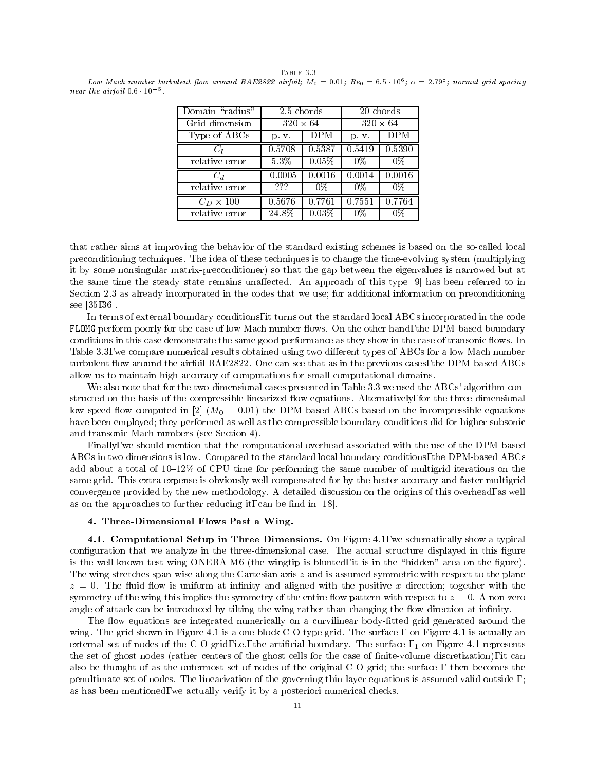TABLE 3 3

Low Mach number turbulent flow around  $RAEzozz$  atribut,  $M_0 = 0.01$ ;  $R_0 = 0.5$  (10) ;  $\alpha = 2.19$  ; normal grid spacing near the airfon 0.6 To 5.6 To 6.6 To 6.6 To 6.6 To 6.6 To 6.6 To 6.6 To 6.6 To 6.6 To 6.6 To 6.6 To 6.6 To 6.6

| Domain "radius"  | 2.5 chords              |          | 20 chords       |            |  |
|------------------|-------------------------|----------|-----------------|------------|--|
| Grid dimension   | $320 \times 64$         |          | $320 \times 64$ |            |  |
| Type of ABCs     | <b>DPM</b><br>$p - v$ . |          | $p - v$ .       | <b>DPM</b> |  |
|                  | 0.5708                  | 0.5387   | 0.5419          | 0.5390     |  |
| relative error   | 5.3%                    | 0.05%    | $0\%$           | $0\%$      |  |
| $\overline{C_d}$ | $-0.0005$               | 0.0016   | 0.0014          | 0.0016     |  |
| relative error   | 722                     | $0\%$    | $0\%$           | $0\%$      |  |
| $C_D \times 100$ | 0.5676                  | 0.7761   | 0.7551          | 0.7764     |  |
| relative error   | 24.8%                   | $0.03\%$ | $0\%$           | $0\%$      |  |

that rather aims at improving the behavior of the standard existing schemes is based on the so-called local preconditioning techniques. The idea of these techniques is to change the time-evolving system (multiplying it by some nonsingular matrix-preconditioner) so that the gap between the eigenvalues is narrowed but at the same time the steady state remains unaffected. An approach of this type [9] has been referred to in Section 2.3 as already incorporated in the codes that we use; for additional information on preconditioning see [35, 36].

In terms of external boundary conditions, it turns out the standard local ABCs incorporated in the code FLOMG perform poorly for the case of low Mach number flows. On the other hand, the DPM-based boundary conditions in this case demonstrate the same good performance as they show in the case of transonic flows. In Table 3.3, we compare numerical results obtained using two different types of ABCs for a low Mach number turbulent flow around the airfoil RAE2822. One can see that as in the previous cases, the DPM-based ABCs allow us to maintain high accuracy of computations for small computational domains.

We also note that for the two-dimensional cases presented in Table 3.3 we used the ABCs' algorithm constructed on the basis of the compressible linearized flow equations. Alternatively, for the three-dimensional low speed flow computed in [2] ( $M_0 = 0.01$ ) the DPM-based ABCs based on the incompressible equations have been employed; they performed as well as the compressible boundary conditions did for higher subsonic and transonic Mach numbers (see Section 4).

Finally, we should mention that the computational overhead associated with the use of the DPM-based ABCs in two dimensions is low. Compared to the standard local boundary conditions, the DPM-based ABCs add about a total of  $10{-}12\%$  of CPU time for performing the same number of multigrid iterations on the same grid. This extra expense is obviously well compensated for by the better accuracy and faster multigrid convergence provided by the new methodology. A detailed discussion on the origins of this overhead, as well as on the approaches to further reducing it, can be find in  $[18]$ .

## 4. Three-Dimensional Flows Past a Wing.

4.1. Computational Setup in Three Dimensions. On Figure 4.1, we schematically show a typical configuration that we analyze in the three-dimensional case. The actual structure displayed in this figure is the well-known test wing ONERA M6 (the wingtip is blunted, it is in the "hidden" area on the figure). The wing stretches span-wise along the Cartesian axis  $z$  and is assumed symmetric with respect to the plane  $z = 0$ . The fluid flow is uniform at infinity and aligned with the positive x direction; together with the symmetry of the wing this implies the symmetry of the entire flow pattern with respect to  $z = 0$ . A non-zero angle of attack can be introduced by tilting the wing rather than changing the flow direction at infinity.

The flow equations are integrated numerically on a curvilinear body-fitted grid generated around the wing. The grid shown in Figure 4.1 is a one-block C-O type grid. The surface, on Figure 4.1 is actually an external set of nodes of the C-O grid, i.e., the artificial boundary. The surface  $, 1$  on Figure 4.1 represents the set of ghost nodes (rather centers of the ghost cells for the case of nite-volume discretization), it can also be thought of as the outermost set of nodes of the original C-O grid; the surface, then becomes the penultimate set of nodes. The linearization of the governing thin-layer equations is assumed valid outside ; as has been mentioned, we actually verify it by a posteriori numerical checks.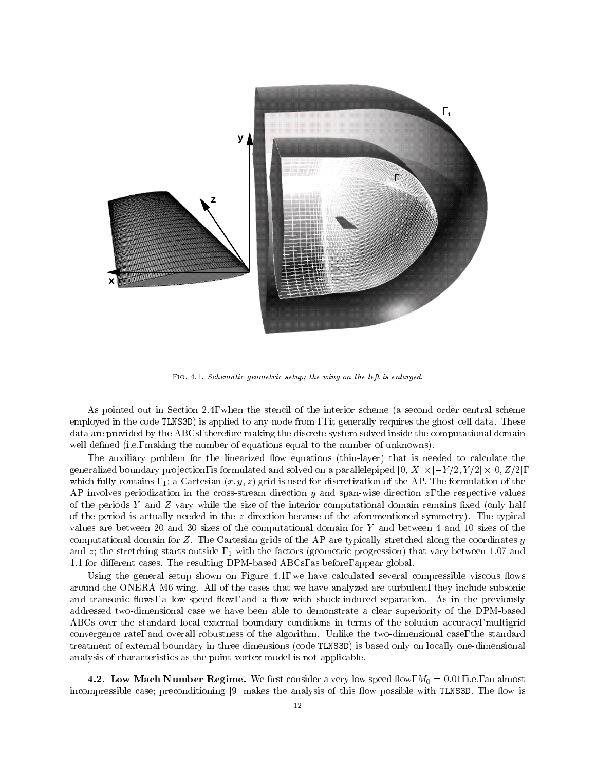

Fig. 4.1. Schematic geometric setup; the wing on the left is enlarged.

As pointed out in Section 2.4, when the stencil of the interior scheme (a second order central scheme employed in the code TLNS3D) is applied to any node from , it generally requires the ghost cell data. These data are provided by the ABCs, therefore making the discrete system solved inside the computational domain well defined (i.e., making the number of equations equal to the number of unknowns).

The auxiliary problem for the linearized flow equations (thin-layer) that is needed to calculate the generalized boundary pro jection, is formulated and solved on a parallelepiped [0; X]-[Y =2;Y=2]-[0; Z=2], which fully contains,  $_1$ ; a Cartesian  $(x, y, z)$  grid is used for discretization of the AP. The formulation of the AP involves periodization in the cross-stream direction  $y$  and span-wise direction  $z$ , the respective values of the periods  $Y$  and  $Z$  vary while the size of the interior computational domain remains fixed (only half of the period is actually needed in the z direction because of the aforementioned symmetry). The typical values are between 20 and 30 sizes of the computational domain for <sup>Y</sup> and between 4 and 10 sizes of the computational domain for Z. The Cartesian grids of the AP are typically stretched along the coordinates <sup>y</sup> and  $z$ ; the stretching starts outside,  $_1$  with the factors (geometric progression) that vary between 1.07 and 1.1 for different cases. The resulting DPM-based ABCs, as before, appear global.

Using the general setup shown on Figure 4.1, we have calculated several compressible viscous flows around the ONERA M6 wing. All of the cases that we have analyzed are turbulent, they include subsonic and transonic flows, a low-speed flow, and a flow with shock-induced separation. As in the previously addressed two-dimensional case we have been able to demonstrate a clear superiority of the DPM-based ABCs over the standard local external boundary conditions in terms of the solution accuracy, multigrid convergence rate, and overall robustness of the algorithm. Unlike the two-dimensional case, the standard treatment of external boundary in three dimensions (code TLNS3D) is based only on locally one-dimensional analysis of characteristics as the point-vortex model is not applicable.

4.2. Low Mach Number Regime. We first consider a very low speed flow,  $M_0 = 0.01$ , i.e., an almost incompressible case; preconditioning [9] makes the analysis of this flow possible with TLNS3D. The flow is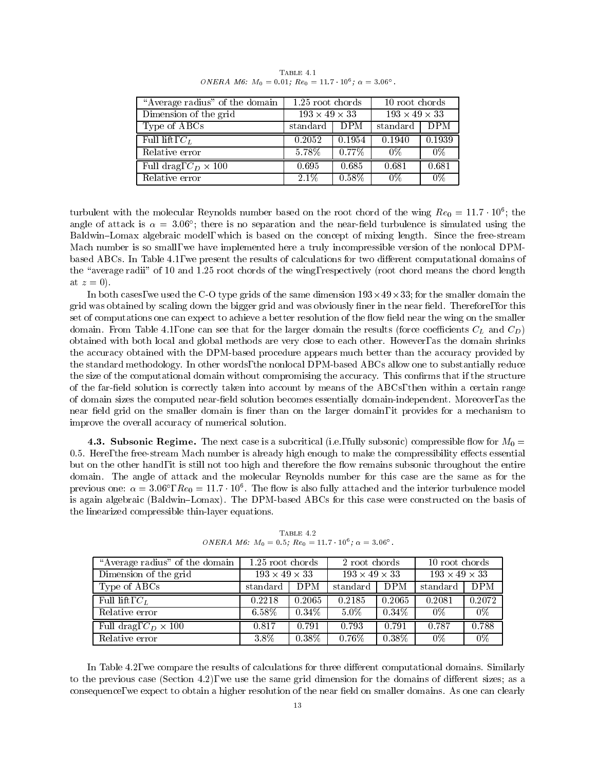| "Average radius" of the domain | $1.25$ root chords        |          | 10 root chords            |            |
|--------------------------------|---------------------------|----------|---------------------------|------------|
| Dimension of the grid          | $193 \times 49 \times 33$ |          | $193 \times 49 \times 33$ |            |
| Type of ABCs                   | standard 1                | - DPM    | standard                  | <b>DPM</b> |
| Full lift, $C_L$               | 0.2052                    | 0.1954   | 0.1940                    | 0.1939     |
| Relative error                 | 5.78%                     | $0.77\%$ | 0%                        | 0%         |
| Full drag, $C_D \times 100$    | 0.695                     | 0.685    | 0.681                     | 0.681      |
| Relative error                 | $2.1\%$                   | $0.58\%$ | $0\%$                     | $0\%$      |

TABLE 4.1  $ONERA$   $M0$ :  $M_0 = 0.01$ ;  $R_0 = 11.7$   $10$ ;  $\alpha = 3.06$ .

turbulent with the molecular Reynolds number based on the root chord of the wing  $\kappa e_0 =$  11.7  $\cdot$  10% the angle of attack is  $\alpha \, = \, 3.06$  ; there is no separation and the near-neid turbulence is simulated using the Baldwin-Lomax algebraic model, which is based on the concept of mixing length. Since the free-stream Mach number is so small, we have implemented here a truly incompressible version of the nonlocal DPMbased ABCs. In Table 4.1, we present the results of calculations for two different computational domains of the "average radii" of 10 and 1.25 root chords of the wing, respectively (root chord means the chord length at  $z=0$ ).

as we use the cases, we used the corollar grids of the same dimension is the same dimension of the smaller doma grid was obtained by scaling down the bigger grid and was obviously finer in the near field. Therefore, for this set of computations one can expect to achieve a better resolution of the flow field near the wing on the smaller domain. From Table 4.1, one can see that for the larger domain the results (force coefficients  $C_L$  and  $C_D$ ) obtained with both local and global methods are very close to each other. However, as the domain shrinks the accuracy obtained with the DPM-based procedure appears much better than the accuracy provided by the standard methodology. In other words, the nonlocal DPM-based ABCs allow one to substantially reduce the size of the computational domain without compromising the accuracy. This confirms that if the structure of the far-field solution is correctly taken into account by means of the ABCs, then within a certain range of domain sizes the computed near-field solution becomes essentially domain-independent. Moreover, as the near field grid on the smaller domain is finer than on the larger domain, it provides for a mechanism to improve the overall accuracy of numerical solution.

**4.3. Subsonic Regime.** The next case is a subcritical (i.e., fully subsonic) compressible flow for  $M_0 =$ 0.5. Here, the free-stream Mach number is already high enough to make the compressibility effects essential but on the other hand, it is still not too high and therefore the flow remains subsonic throughout the entire domain. The angle of attack and the molecular Reynolds number for this case are the same as for the previous one:  $\alpha = 3.00$  ,  $Re_0 = 11.7 \cdot 10$  . The now is also fully attached and the interior turbulence model is again algebraic (Baldwin-Lomax). The DPM-based ABCs for this case were constructed on the basis of the linearized compressible thin-layer equations.

| "Average radius" of the domain | $1.25$ root chords        |            | 2 root chords             |            | 10 root chords            |            |
|--------------------------------|---------------------------|------------|---------------------------|------------|---------------------------|------------|
| Dimension of the grid          | $193 \times 49 \times 33$ |            | $193 \times 49 \times 33$ |            | $193 \times 49 \times 33$ |            |
| Type of ABCs                   | standard                  | <b>DPM</b> | standard                  | <b>DPM</b> | standard                  | <b>DPM</b> |
| Full lift, $C_L$               | 0.2218                    | 0.2065     | 0.2185                    | 0.2065     | 0.2081                    | 0.2072     |
| Relative error                 | $6.58\%$                  | $0.34\%$   | $5.0\%$                   | $0.34\%$   | $0\%$                     | 0%         |
| Full drag, $C_D \times 100$    | 0.817                     | 0.791      | 0.793                     | 0.791      | 0.787                     | 0.788      |
| Relative error                 | 3.8%                      | $0.38\%$   | $0.76\%$                  | $0.38\%$   | $0\%$                     | $0\%$      |

ONERA M6:  $M_0 = 0.5$ ;  $Re_0 = 11.7 \cdot 10^6$ ;  $\alpha = 3.06^\circ$ .

In Table 4.2, we compare the results of calculations for three different computational domains. Similarly to the previous case (Section 4.2), we use the same grid dimension for the domains of different sizes; as a consequence, we expect to obtain a higher resolution of the near field on smaller domains. As one can clearly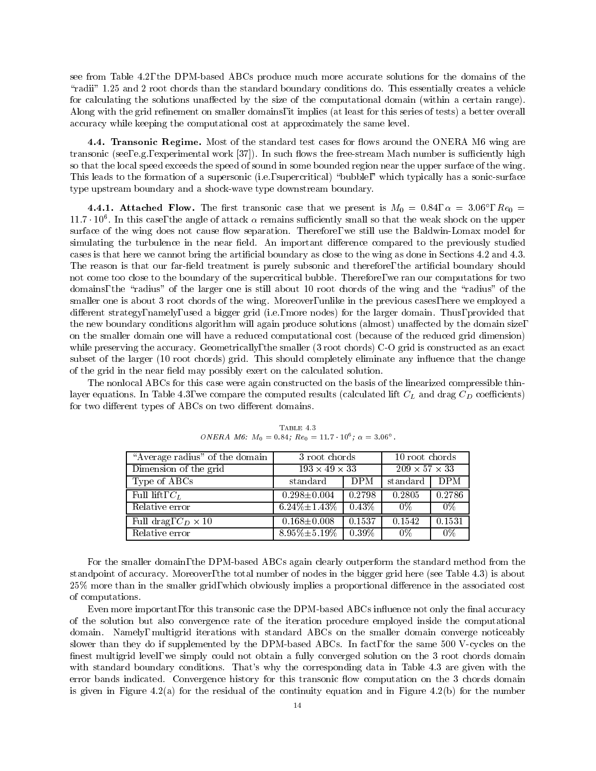see from Table4.2, the DPM-based ABCs produce much more accurate solutions for the domains of the "radii" 1.25 and 2 root chords than the standard boundary conditions do. This essentially creates a vehicle for calculating the solutions unaffected by the size of the computational domain (within a certain range). Along with the grid refinement on smaller domains, it implies (at least for this series of tests) a better overall accuracy while keeping the computational cost at approximately the same level.

4.4. Transonic Regime. Most of the standard test cases for flows around the ONERA M6 wing are transonic (see, e.g., experimental work [37]). In such flows the free-stream Mach number is sufficiently high so that the local speed exceeds the speed of sound in some bounded region near the upper surface of the wing. This leads to the formation of a supersonic (i.e., supercritical) "bubble," which typically has a sonic-surface type upstream boundary and a shock-wave type downstream boundary.

4.4.1. Attached Flow. The first transonic case that we present is  $M_0 = 0.84, \ \alpha = 3.06$  ,  $Re_0 =$  $11.7\pm10^{\circ}$  . In this case, the angle of attack  $\alpha$  remains sumclently small so that the weak shock on the upper surface of the wing does not cause flow separation. Therefore, we still use the Baldwin-Lomax model for simulating the turbulence in the near field. An important difference compared to the previously studied cases is that here we cannot bring the articial boundary as close to the wing as done in Sections 4.2 and 4.3. The reason is that our far-field treatment is purely subsonic and therefore, the artificial boundary should not come too close to the boundary of the supercritical bubble. Therefore, we ran our computations for two domains, the "radius" of the larger one is still about 10 root chords of the wing and the "radius" of the smaller one is about 3 root chords of the wing. Moreover, unlike in the previous cases, here we employed a different strategy, namely, used a bigger grid (i.e., more nodes) for the larger domain. Thus, provided that the new boundary conditions algorithm will again produce solutions (almost) unaffected by the domain size. on the smaller domain one will have a reduced computational cost (because of the reduced grid dimension) while preserving the accuracy. Geometrically, the smaller (3 root chords) C-O grid is constructed as an exact subset of the larger (10 root chords) grid. This should completely eliminate any influence that the change of the grid in the near field may possibly exert on the calculated solution.

The nonlocal ABCs for this case were again constructed on the basis of the linearized compressible thinlayer equations. In Table 4.3, we compare the computed results (calculated lift  $C_L$  and drag  $C_D$  coefficients) for two different types of ABCs on two different domains.

| "Average radius" of the domain | 3 root chords             |            | 10 root chords        |            |
|--------------------------------|---------------------------|------------|-----------------------|------------|
| Dimension of the grid          | $193 \times 49 \times 33$ |            | $209\times57\times33$ |            |
| Type of ABCs                   | standard                  | <b>DPM</b> | standard              | <b>DPM</b> |
| Full lift, $C_L$               | $0.298 \pm 0.004$         | 0.2798     | 0.2805                | 0.2786     |
| Relative error                 | $6.24\% \pm 1.43\%$       | $0.43\%$   | $0\%$                 | $0\%$      |
| Full drag, $C_D \times 10$     | $0.168 \pm 0.008$         | 0.1537     | 0.1542                | 0.1531     |
| Relative error                 | $8.95\% \pm 5.19\%$       | $0.39\%$   | $0\%$                 | $0\%$      |

ONERA M6:  $M_0 = 0.84$ ;  $Re_0 = 11.7 \cdot 10^6$ ;  $\alpha = 3.06^{\circ}$ .

For the smaller domain, the DPM-based ABCs again clearly outperform the standard method from the standpoint of accuracy. Moreover, the total number of nodes in the bigger grid here (see Table 4.3) is about 25% more than in the smaller grid, which obviously implies a proportional difference in the associated cost of computations.

Even more important, for this transonic case the DPM-based ABCs influence not only the final accuracy of the solution but also convergence rate of the iteration procedure employed inside the computational domain. Namely, multigrid iterations with standard ABCs on the smaller domain converge noticeably slower than they do if supplemented by the DPM-based ABCs. In fact, for the same 500 V-cycles on the finest multigrid level, we simply could not obtain a fully converged solution on the 3 root chords domain with standard boundary conditions. That's why the corresponding data in Table 4.3 are given with the error bands indicated. Convergence history for this transonic flow computation on the 3 chords domain is given in Figure 4.2(a) for the residual of the continuity equation and in Figure 4.2(b) for the number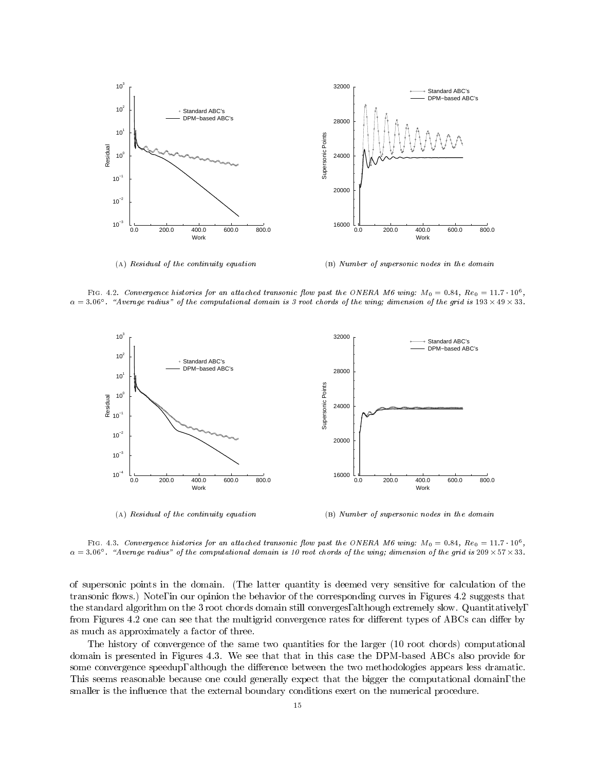

(a) Residual of the continuity equation

(b) Number of supersonic nodes in the domain

FIG. 4.2. Convergence histories for an attached transonic flow past the ONERA M6 wing:  $M_0 = 0.84$ ,  $Re_0 = 11.7 \cdot 10^6$ .  $\alpha =$  3.00°. Average radius of the computational domain is 3 root chords of the wing; dimension of the grid is 193  $\times$  49  $\times$  55.



FIG. 4.3. Convergence histories for an attached transonic flow past the ONERA M6 wing:  $M_0 = 0.84$ ,  $Re_0 = 11.7 \cdot 10^6$  $\alpha =$  3.06  $^-$  . Average radius" of the computational domain is 10 root chords of the wing; dimension of the grid is 209  $\times$  51  $\times$  55.

of supersonic points in the domain. (The latter quantity is deemed very sensitive for calculation of the transonic flows.) Note, in our opinion the behavior of the corresponding curves in Figures 4.2 suggests that the standard algorithm on the 3 root chords domain still converges, although extremely slow. Quantitatively, from Figures 4.2 one can see that the multigrid convergence rates for different types of ABCs can differ by as much as approximately a factor of three.

The history of convergence of the same two quantities for the larger (10 root chords) computational domain is presented in Figures 4.3. We see that that in this case the DPM-based ABCs also provide for some convergence speedup, although the difference between the two methodologies appears less dramatic. This seems reasonable because one could generally expect that the bigger the computational domain, the smaller is the influence that the external boundary conditions exert on the numerical procedure.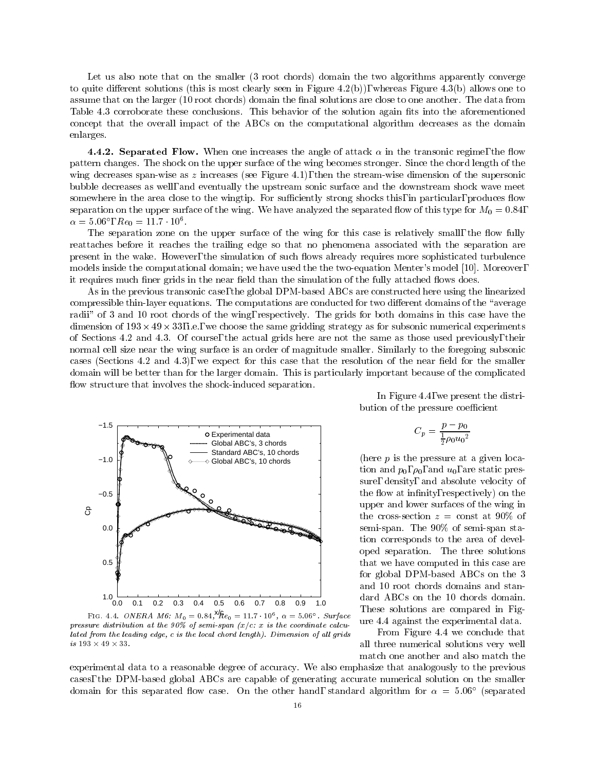Let us also note that on the smaller (3 root chords) domain the two algorithms apparently converge to quite different solutions (this is most clearly seen in Figure 4.2(b)), whereas Figure 4.3(b) allows one to assume that on the larger (10 root chords) domain the final solutions are close to one another. The data from Table 4.3 corroborate these conclusions. This behavior of the solution again fits into the aforementioned concept that the overall impact of the ABCs on the computational algorithm decreases as the domain enlarges.

**4.4.2. Separated Flow.** When one increases the angle of attack  $\alpha$  in the transonic regime, the flow pattern changes. The shock on the upper surface of the wing becomes stronger. Since the chord length of the wing decreases span-wise as z increases (see Figure 4.1), then the stream-wise dimension of the supersonic bubble decreases as well, and eventually the upstream sonic surface and the downstream shock wave meet somewhere in the area close to the wingtip. For sufficiently strong shocks this, in particular, produces flow separation on the upper surface of the wing. We have analyzed the separated flow of this type for  $M_0 = 0.84$ ,  $\alpha = 5.00$ ,  $\pi e_0 = 11.7$  10.

The separation zone on the upper surface of the wing for this case is relatively small, the flow fully reattaches before it reaches the trailing edge so that no phenomena associated with the separation are present in the wake. However, the simulation of such flows already requires more sophisticated turbulence models inside the computational domain; we have used the the two-equation Menter's model [10]. Moreover, it requires much finer grids in the near field than the simulation of the fully attached flows does.

As in the previous transonic case, the global DPM-based ABCs are constructed here using the linearized compressible thin-layer equations. The computations are conducted for two different domains of the "average" radii" of 3 and 10 root chords of the wing, respectively. The grids for both domains in this case have the  $\alpha$  -dimension of 193 - 193, i.e., we choose the same gridding strategy as for substance measurements as formula of Sections 4.2 and 4.3. Of course, the actual grids here are not the same as those used previously, their normal cell size near the wing surface is an order of magnitude smaller. Similarly to the foregoing subsonic cases (Sections 4.2 and 4.3), we expect for this case that the resolution of the near field for the smaller domain will be better than for the larger domain. This is particularly important because of the complicated flow structure that involves the shock-induced separation.



FIG. 4.4. ONERA M6:  $M_0 = 0.84$ ,  $\chi_{Re_0}^{\prime} = 11.7 \cdot 10^6$ ,  $\alpha = 5.06^{\circ}$ . Surface pressure distribution at the 90% of semi-span  $(x/c: x$  is the coordinate calculated from the leading edge,  $c$  is the local chord length). Dimension of all grids is  $193 \times 49 \times 33$ .

In Figure 4.4, we present the distribution of the pressure coefficient

$$
C_p=\frac{p-p_0}{\frac{1}{2}{\rho_0}u_0{}^2}
$$

(here  $p$  is the pressure at a given location and  $p_0$ ,  $\rho_0$ , and  $u_0$ , are static pressure, density, and absolute velocity of the flow at infinity, respectively) on the upper and lower surfaces of the wing in the cross-section  $z = \text{const}$  at 90% of semi-span. The 90% of semi-span station corresponds to the area of developed separation. The three solutions that we have computed in this case are for global DPM-based ABCs on the 3 and 10 root chords domains and standard ABCs on the 10 chords domain. These solutions are compared in Figure 4.4 against the experimental data.

From Figure 4.4 we conclude that all three numerical solutions very well match one another and also match the

experimental data to a reasonable degree of accuracy. We also emphasize that analogously to the previous cases, the DPM-based global ABCs are capable of generating accurate numerical solution on the smaller domain for this separated now case. On the other hand, standard algorithm for  $\alpha~=~$  5.00  $-$  (separated  $-$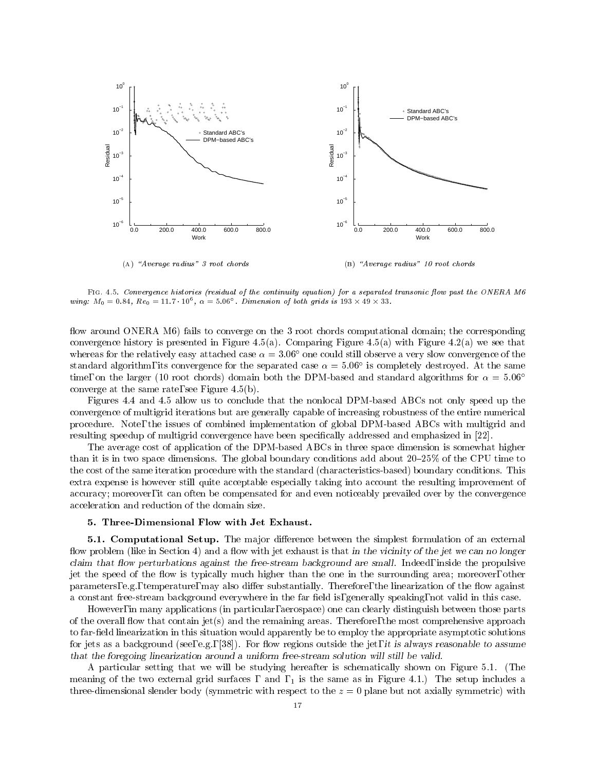

FIG. 4.5. Convergence histories (residual of the continuity equation) for a separated transonic flow past the ONERA M6 wing:  $m_0 = 0.84$ ,  $\pi e_0 = 11.7 \cdot 10^{-1}$ ,  $\alpha = 5.06$ . Dimension of both grids is 195  $\times$  49  $\times$  55.

flow around ONERA M6) fails to converge on the 3 root chords computational domain; the corresponding convergence history is presented in Figure 4.5(a). Comparing Figure 4.5(a) with Figure 4.2(a) we see that whereas for the relatively easy attached case  $\alpha = 3.06^{\circ}$  one could still observe a very slow convergence of the standard algorithm, its convergence for the separated case  $\alpha=$  5.00  $^{\circ}$  is completely destroyed. At the same time, on the larger (10 root chords) domain both the DPM-based and standard algorithms for  $\alpha = 5.06^{\circ}$ converge at the same rate, see Figure 4.5(b).

Figures 4.4 and 4.5 allow us to conclude that the nonlocal DPM-based ABCs not only speed up the convergence of multigrid iterations but are generally capable of increasing robustness of the entire numerical procedure. Note, the issues of combined implementation of global DPM-based ABCs with multigrid and resulting speedup of multigrid convergence have been specically addressed and emphasized in [22].

The average cost of application of the DPM-based ABCs in three space dimension is somewhat higher than it is in two space dimensions. The global boundary conditions add about  $20{\text -}25\%$  of the CPU time to the cost of the same iteration procedure with the standard (characteristics-based) boundary conditions. This extra expense is however still quite acceptable especially taking into account the resulting improvement of accuracy; moreover, it can often be compensated for and even noticeably prevailed over by the convergence acceleration and reduction of the domain size.

5.1. Computational Setup. The major difference between the simplest formulation of an external flow problem (like in Section 4) and a flow with jet exhaust is that in the vicinity of the jet we can no longer claim that flow perturbations against the free-stream background are small. Indeed, inside the propulsive jet the speed of the flow is typically much higher than the one in the surrounding area; moreover, other parameters, e.g., temperature, may also differ substantially. Therefore, the linearization of the flow against a constant free-stream background everywhere in the far field is, generally speaking, not valid in this case.

However, in many applications (in particular, aerospace) one can clearly distinguish between those parts of the overall flow that contain jet(s) and the remaining areas. Therefore, the most comprehensive approach to far-field linearization in this situation would apparently be to employ the appropriate asymptotic solutions for jets as a background (see, e.g., [38]). For flow regions outside the jet, it is always reasonable to assume that the foregoing linearization around a uniform free-stream solution will still be valid.

A particular setting that we will be studying hereafter is schematically shown on Figure 5.1. (The meaning of the two external grid surfaces, and,  $_1$  is the same as in Figure 4.1.) The setup includes a three-dimensional slender body (symmetric with respect to the  $z = 0$  plane but not axially symmetric) with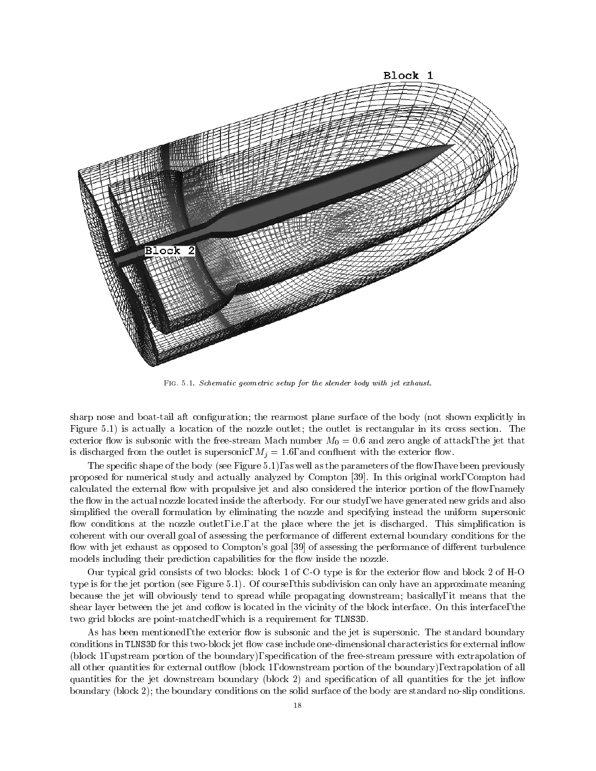

Fig. 5.1. Schematic geometric setup for the slender body with jet exhaust.

sharp nose and boat-tail aft configuration; the rearmost plane surface of the body (not shown explicitly in Figure 5.1) is actually a location of the nozzle outlet; the outlet is rectangular in its cross section. The exterior flow is subsonic with the free-stream Mach number  $M_0 = 0.6$  and zero angle of attack, the jet that is discharged from the outlet is supersonic,  $M_j = 1.6$ , and confluent with the exterior flow.

The specific shape of the body (see Figure 5.1), as well as the parameters of the flow, have been previously proposed for numerical study and actually analyzed by Compton [39]. In this original work, Compton had calculated the external flow with propulsive jet and also considered the interior portion of the flow, namely the flow in the actual nozzle located inside the afterbody. For our study, we have generated new grids and also simplied the overall formulation by eliminating the nozzle and specifying instead the uniform supersonic flow conditions at the nozzle outlet, i.e., at the place where the jet is discharged. This simplification is coherent with our overall goal of assessing the performance of different external boundary conditions for the flow with jet exhaust as opposed to Compton's goal [39] of assessing the performance of different turbulence models including their prediction capabilities for the flow inside the nozzle.

Our typical grid consists of two blocks: block 1 of C-O type is for the exterior flow and block 2 of H-O type is for the jet portion (see Figure 5.1). Of course, this subdivision can only have an approximate meaning because the jet will obviously tend to spread while propagating downstream; basically, it means that the shear layer between the jet and coflow is located in the vicinity of the block interface. On this interface, the two grid blocks are point-matched, which is a requirement for TLNS3D.

As has been mentioned, the exterior flow is subsonic and the jet is supersonic. The standard boundary conditions in TLNS3D for this two-block jet flow case include one-dimensional characteristics for external inflow (block 1, upstream portion of the boundary), specication of the free-stream pressure with extrapolation of all other quantities for external outflow (block 1, downstream portion of the boundary), extrapolation of all quantities for the jet downstream boundary (block 2) and specification of all quantities for the jet inflow boundary (block 2); the boundary conditions on the solid surface of the body are standard no-slip conditions.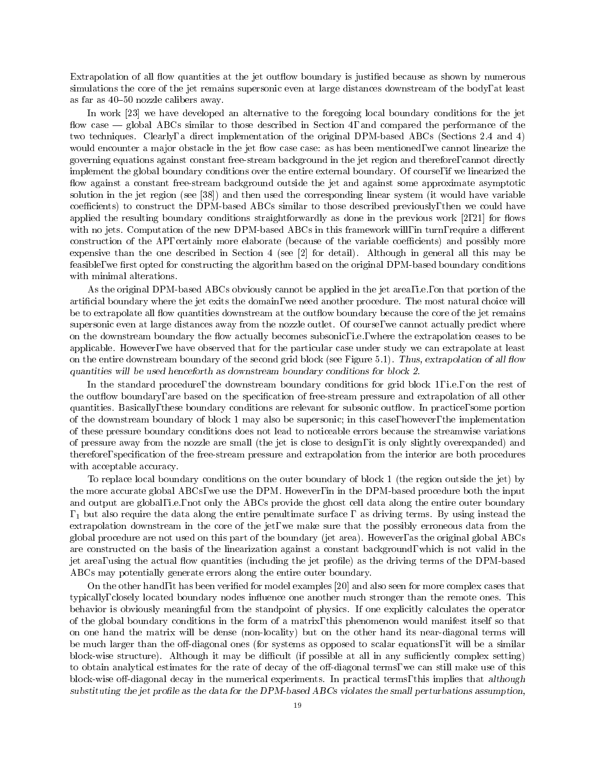Extrapolation of all flow quantities at the jet outflow boundary is justified because as shown by numerous simulations the core of the jet remains supersonic even at large distances downstream of the body, at least as far as  $40{-}50$  nozzle calibers away.

In work [23] we have developed an alternative to the foregoing local boundary conditions for the jet flow case  $-$  global ABCs similar to those described in Section 4, and compared the performance of the two techniques. Clearly, a direct implementation of the original DPM-based ABCs (Sections 2.4 and 4) would encounter a major obstacle in the jet flow case case: as has been mentioned, we cannot linearize the governing equations against constant free-stream background in the jet region and therefore, cannot directly implement the global boundary conditions over the entire external boundary. Of course, if we linearized the flow against a constant free-stream background outside the jet and against some approximate asymptotic solution in the jet region (see [38]) and then used the corresponding linear system (it would have variable coefficients) to construct the DPM-based ABCs similar to those described previously, then we could have applied the resulting boundary conditions straightforwardly as done in the previous work  $[2, 21]$  for flows with no jets. Computation of the new DPM-based ABCs in this framework will, in turn, require a different construction of the AP, certainly more elaborate (because of the variable coefficients) and possibly more expensive than the one described in Section 4 (see [2] for detail). Although in general all this may be feasible, we first opted for constructing the algorithm based on the original DPM-based boundary conditions with minimal alterations.

As the original DPM-based ABCs obviously cannot be applied in the jet area, i.e., on that portion of the articial boundary where the jet exits the domain, we need another procedure. The most natural choice will be to extrapolate all flow quantities downstream at the outflow boundary because the core of the jet remains supersonic even at large distances away from the nozzle outlet. Of course, we cannot actually predict where on the downstream boundary the flow actually becomes subsonic, i.e., where the extrapolation ceases to be applicable. However, we have observed that for the particular case under study we can extrapolate at least on the entire downstream boundary of the second grid block (see Figure 5.1). Thus, extrapolation of all flow quantities will be used henceforth as downstream boundary conditions for block 2.

In the standard procedure, the downstream boundary conditions for grid block 1, i.e., on the rest of the outflow boundary, are based on the specification of free-stream pressure and extrapolation of all other quantities. Basically, these boundary conditions are relevant for subsonic outflow. In practice, some portion of the downstream boundary of block 1 may also be supersonic; in this case, however, the implementation of these pressure boundary conditions does not lead to noticeable errors because the streamwise variations of pressure away from the nozzle are small (the jet is close to design, it is only slightly overexpanded) and therefore, specication of the free-stream pressure and extrapolation from the interior are both procedures with acceptable accuracy.

To replace local boundary conditions on the outer boundary of block 1 (the region outside the jet) by the more accurate global ABCs, we use the DPM. However, in in the DPM-based procedure both the input and output are global, i.e., not only the ABCs provide the ghost cell data along the entire outer boundary  $, 1$  but also require the data along the entire penultimate surface, as driving terms. By using instead the extrapolation downstream in the core of the jet, we make sure that the possibly erroneous data from the global procedure are not used on this part of the boundary (jet area). However, as the original global ABCs are constructed on the basis of the linearization against a constant background, which is not valid in the jet area, using the actual flow quantities (including the jet profile) as the driving terms of the DPM-based ABCs may potentially generate errors along the entire outer boundary.

On the other hand, it has been veried for model examples [20] and also seen for more complex cases that typically, closely located boundary nodes in
uence one another much stronger than the remote ones. This behavior is obviously meaningful from the standpoint of physics. If one explicitly calculates the operator of the global boundary conditions in the form of a matrix, this phenomenon would manifest itself so that on one hand the matrix will be dense (non-locality) but on the other hand its near-diagonal terms will be much larger than the off-diagonal ones (for systems as opposed to scalar equations, it will be a similar block-wise structure). Although it may be difficult (if possible at all in any sufficiently complex setting) to obtain analytical estimates for the rate of decay of the off-diagonal terms, we can still make use of this block-wise off-diagonal decay in the numerical experiments. In practical terms, this implies that although substituting the jet profile as the data for the DPM-based ABCs violates the small perturbations assumption,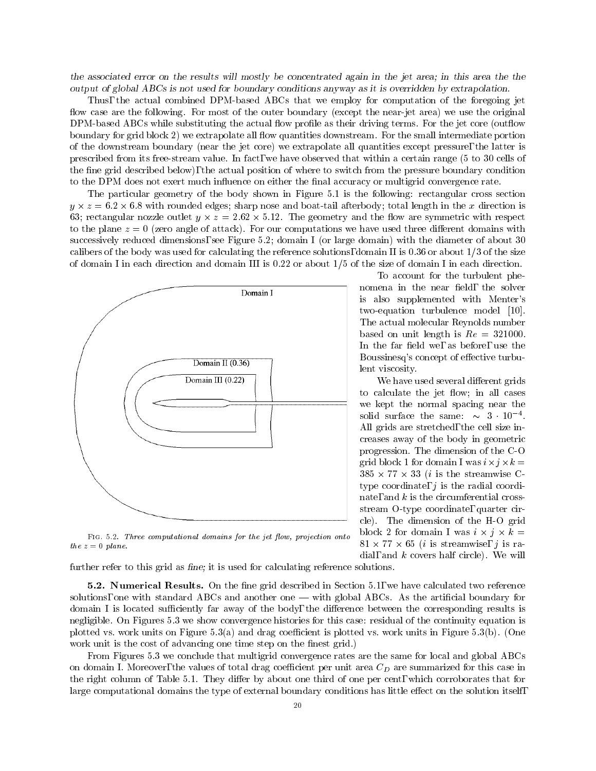the associated error on the results will mostly be concentrated again in the jet area; in this area the the output of global ABCs is not used for boundary conditions anyway as it is overridden by extrapolation.

Thus, the actual combined DPM-based ABCs that we employ for computation of the foregoing jet flow case are the following. For most of the outer boundary (except the near-jet area) we use the original DPM-based ABCs while substituting the actual flow profile as their driving terms. For the jet core (outflow boundary for grid block 2) we extrapolate all flow quantities downstream. For the small intermediate portion of the downstream boundary (near the jet core) we extrapolate all quantities except pressure, the latter is prescribed from its free-stream value. In fact, we have observed that within a certain range (5 to 30 cells of the fine grid described below), the actual position of where to switch from the pressure boundary condition to the DPM does not exert much influence on either the final accuracy or multigrid convergence rate.

The particular geometry of the body shown in Figure 5.1 is the following: rectangular cross section <sup>y</sup> - <sup>z</sup> = 6:2 - 6:8 with rounded edges; sharp nose and boat-tail afterbody; total length in the <sup>x</sup> direction is 63; rectangular nozzle outlet <sup>y</sup> - <sup>z</sup> = 2:62 - 5:12. The geometry and the 
ow are symmetric with respect to the plane  $z = 0$  (zero angle of attack). For our computations we have used three different domains with successively reduced dimensions, see Figure 5.2; domain I (or large domain) with the diameter of about 30 calibers of the body was used for calculating the reference solutions, domain II is 0.36 or about  $1/3$  of the size of domain I in each direction and domain III is  $0.22$  or about  $1/5$  of the size of domain I in each direction.



FIG.  $5.2$ . Three computational domains for the jet flow, projection onto the  $z = 0$  plane.

To account for the turbulent phenomena in the near field, the solver is also supplemented with Menter's two-equation turbulence model [10]. The actual molecular Reynolds number based on unit length is  $Re = 321000$ . In the far field we, as before, use the Boussinesq's concept of effective turbulent viscosity.

We have used several different grids to calculate the jet flow; in all cases we kept the normal spacing near the solid surface the same:  $\sim 3 \cdot 10^{-4}$ . All grids are stretched, the cell size increases away of the body in geometric progression. The dimension of the C-O  $\mathbf{f}$  is a formulation in the domain is a formulation in the domain is a formulation in the domain is a formulation of  $\mathbf{f}$ 385 - 77 - 33 (iis the streamwise Ctype coordinate,  $j$  is the radial coordinate, and  $k$  is the circumferential crossstream O-type coordinate, quarter circle). The dimension of the H-O grid block 2 for domain I was in the second contract of the second contract of the second contract of the second co 82 - 78 - 86 (iis streamwise, in the streamwise, in the streamwise, in the streamwise, in the streamwise, in the streamwise, in the streamwise, in the streamwise, in the streamwise, in the streamwise, in the streamwise, in dial, and <sup>k</sup> covers half circle). We will

further refer to this grid as fine; it is used for calculating reference solutions.

**5.2. Numerical Results.** On the fine grid described in Section 5.1, we have calculated two reference solutions, one with standard  $\text{ABCs}$  and another one — with global ABCs. As the artificial boundary for domain I is located sufficiently far away of the body, the difference between the corresponding results is negligible. On Figures 5.3 we show convergence histories for this case: residual of the continuity equation is plotted vs. work units on Figure  $5.3(a)$  and drag coefficient is plotted vs. work units in Figure  $5.3(b)$ . (One work unit is the cost of advancing one time step on the finest grid.)

From Figures 5.3 we conclude that multigrid convergence rates are the same for local and global ABCs on domain I. Moreover, the values of total drag coefficient per unit area  $C<sub>D</sub>$  are summarized for this case in the right column of Table 5.1. They differ by about one third of one per cent, which corroborates that for large computational domains the type of external boundary conditions has little effect on the solution itself.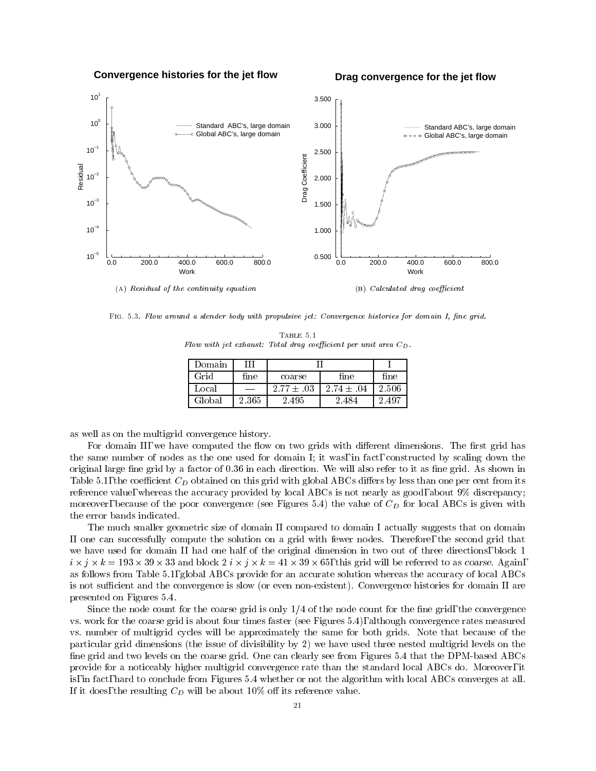**Convergence histories for the jet flow** 

**Drag convergence for the jet flow**



FIG. 5.3. Flow around a slender body with propulsive jet: Convergence histories for domain I, fine grid.

Table 5.1 Flow with jet exhaust: Total drag coefficient per unit area  $C_D$ .

| Domain |        |                |                |       |
|--------|--------|----------------|----------------|-------|
| Grid   | fine   | coarse         | fine           | fine  |
| Local  | $\sim$ | $2.77 \pm .03$ | $2.74 \pm .04$ | 2.506 |
| Global | 2.365  | 2.495          | 2.484          | 2.497 |

as well as on the multigrid convergence history.

For domain II, we have computed the flow on two grids with different dimensions. The first grid has the same number of nodes as the one used for domain I; it was, in fact, constructed by scaling down the original large fine grid by a factor of 0.36 in each direction. We will also refer to it as fine grid. As shown in Table 5.1, the coefficient  $C_D$  obtained on this grid with global ABCs differs by less than one per cent from its reference value, whereas the accuracy provided by local ABCs is not nearly as good, about 9% discrepancy; moreover, because of the poor convergence (see Figures 5.4) the value of  $C<sub>D</sub>$  for local ABCs is given with the error bands indicated.

The much smaller geometric size of domain II compared to domain I actually suggests that on domain II one can successfully compute the solution on a grid with fewer nodes. Therefore, the second grid that we have used for domain II had one half of the original dimension in two out of three directions, block 1 i - j - - 193 - 193 - 193 - 193 - 193 - 194 - 194 - 195 - 196 - 197 - 198 - 199 - 199 - 199 - 199 - 199 - 199 as follows from Table 5.1, global ABCs provide for an accurate solution whereas the accuracy of local ABCs is not sufficient and the convergence is slow (or even non-existent). Convergence histories for domain II are presented on Figures 5.4.

Since the node count for the coarse grid is only  $1/4$  of the node count for the fine grid, the convergence vs. work for the coarse grid is about four times faster (see Figures 5.4), although convergence rates measured vs. number of multigrid cycles will be approximately the same for both grids. Note that because of the particular grid dimensions (the issue of divisibility by 2) we have used three nested multigrid levels on the fine grid and two levels on the coarse grid. One can clearly see from Figures 5.4 that the DPM-based ABCs provide for a noticeably higher multigrid convergence rate than the standard local ABCs do. Moreover, it is, in fact, hard to conclude from Figures 5.4 whether or not the algorithm with local ABCs converges at all. If it does, the resulting  $C_D$  will be about 10% off its reference value.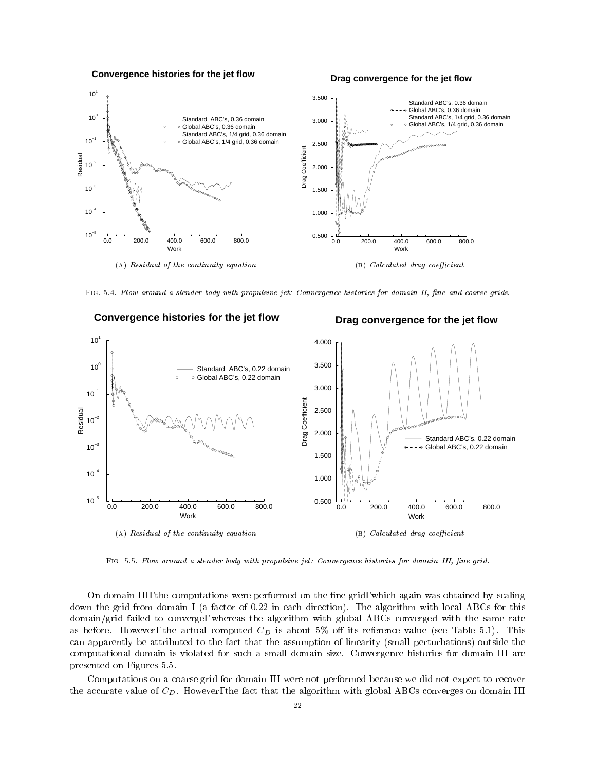**Convergence histories for the jet flow** 

**Drag convergence for the jet flow**



FIG. 5.4. Flow around a slender body with propulsive jet: Convergence histories for domain II, fine and coarse grids.

**Convergence histories for the jet flow** 





FIG. 5.5. Flow around a slender body with propulsive jet: Convergence histories for domain III, fine grid.

On domain III, the computations were performed on the fine grid, which again was obtained by scaling down the grid from domain I (a factor of 0.22 in each direction). The algorithm with local ABCs for this domain/grid failed to converge, whereas the algorithm with global ABCs converged with the same rate as before. However, the actual computed  $C_D$  is about 5% off its reference value (see Table 5.1). This can apparently be attributed to the fact that the assumption of linearity (small perturbations) outside the computational domain is violated for such a small domain size. Convergence histories for domain III are presented on Figures 5.5.

Computations on a coarse grid for domain III were not performed because we did not expect to recover the accurate value of  $C_D$ . However, the fact that the algorithm with global ABCs converges on domain III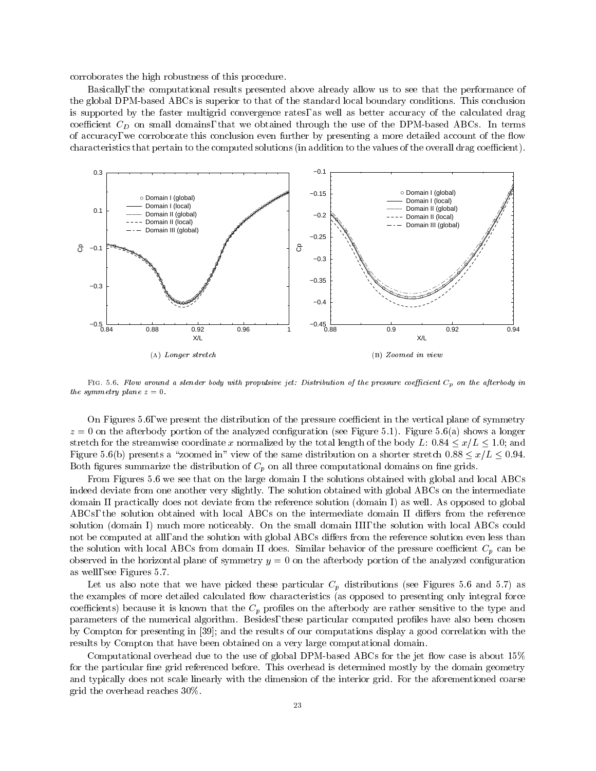corroborates the high robustness of this procedure.

Basically, the computational results presented above already allow us to see that the performance of the global DPM-based ABCs is superior to that of the standard local boundary conditions. This conclusion is supported by the faster multigrid convergence rates, as well as better accuracy of the calculated drag coefficient  $C_D$  on small domains, that we obtained through the use of the DPM-based ABCs. In terms of accuracy, we corroborate this conclusion even further by presenting a more detailed account of the flow characteristics that pertain to the computed solutions (in addition to the values of the overall drag coefficient).



FIG. 5.6. Flow around a slender body with propulsive jet: Distribution of the pressure coefficient  $C_p$  on the afterbody in the symmetry plane  $z = 0$ .

On Figures 5.6, we present the distribution of the pressure coefficient in the vertical plane of symmetry  $z = 0$  on the afterbody portion of the analyzed configuration (see Figure 5.1). Figure 5.6(a) shows a longer stretch for the streamwise coordinate x normalized by the total length of the body L:  $0.84 \le x/L \le 1.0$ ; and Figure 5.6(b) presents a "zoomed in" view of the same distribution on a shorter stretch  $0.88 \le x/L \le 0.94$ . Both figures summarize the distribution of  $C_p$  on all three computational domains on fine grids.

From Figures 5.6 we see that on the large domain I the solutions obtained with global and local ABCs indeed deviate from one another very slightly. The solution obtained with global ABCs on the intermediate domain II practically does not deviate from the reference solution (domain I) as well. As opposed to global ABCs, the solution obtained with local ABCs on the intermediate domain II differs from the reference solution (domain I) much more noticeably. On the small domain III, the solution with local ABCs could not be computed at all, and the solution with global ABCs differs from the reference solution even less than the solution with local ABCs from domain II does. Similar behavior of the pressure coefficient  $C_p$  can be observed in the horizontal plane of symmetry  $y = 0$  on the afterbody portion of the analyzed configuration as well, see Figures 5.7.

Let us also note that we have picked these particular  $C_p$  distributions (see Figures 5.6 and 5.7) as the examples of more detailed calculated flow characteristics (as opposed to presenting only integral force coefficients) because it is known that the  $C_p$  profiles on the afterbody are rather sensitive to the type and parameters of the numerical algorithm. Besides, these particular computed profiles have also been chosen by Compton for presenting in [39]; and the results of our computations display a good correlation with the results by Compton that have been obtained on a very large computational domain.

Computational overhead due to the use of global DPM-based ABCs for the jet flow case is about  $15\%$ for the particular fine grid referenced before. This overhead is determined mostly by the domain geometry and typically does not scale linearly with the dimension of the interior grid. For the aforementioned coarse grid the overhead reaches 30%.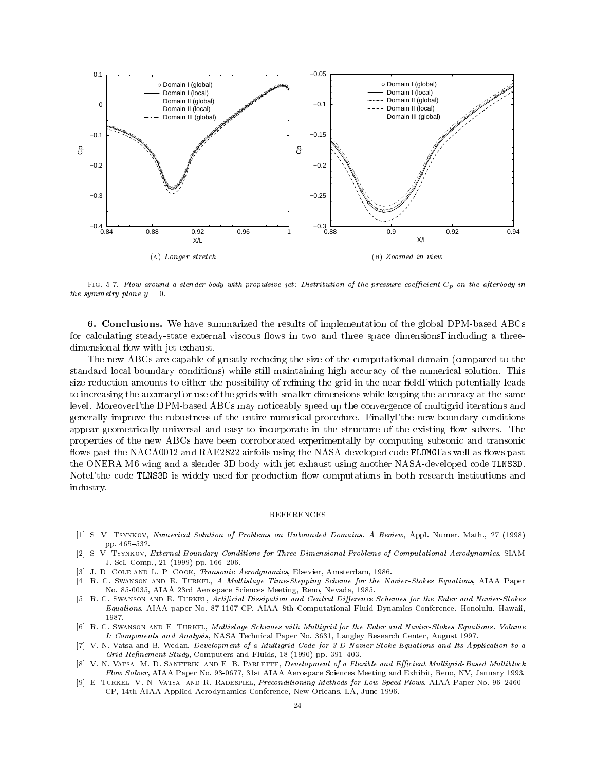

FIG. 5.7. Flow around a slender body with propulsive jet: Distribution of the pressure coefficient  $C_p$  on the afterbody in the symmetry plane  $y = 0$ .

6. Conclusions. We have summarized the results of implementation of the global DPM-based ABCs for calculating steady-state external viscous flows in two and three space dimensions, including a threedimensional flow with jet exhaust.

The new ABCs are capable of greatly reducing the size of the computational domain (compared to the standard local boundary conditions) while still maintaining high accuracy of the numerical solution. This size reduction amounts to either the possibility of refining the grid in the near field, which potentially leads to increasing the accuracy, or use of the grids with smaller dimensions while keeping the accuracy at the same level. Moreover, the DPM-based ABCs may noticeably speed up the convergence of multigrid iterations and generally improve the robustness of the entire numerical procedure. Finally, the new boundary conditions appear geometrically universal and easy to incorporate in the structure of the existing flow solvers. The properties of the new ABCs have been corroborated experimentally by computing subsonic and transonic flows past the NACA0012 and RAE2822 airfoils using the NASA-developed code FLOMG, as well as flows past the ONERA M6 wing and a slender 3D body with jet exhaust using another NASA-developed code TLNS3D. Note, the code TLNS3D is widely used for production flow computations in both research institutions and industry.

#### REFERENCES

- [1] S. V. Tsynkov, Numerical Solution of Problems on Unbounded Domains. A Review, Appl. Numer. Math., 27 (1998) pp. 465-532.
- $\lceil 2 \rceil$ [2] S. V. Tsynkov, External Boundary Conditions for Three-Dimensional Problems of Computational Aerodynamics, SIAM J. Sci. Comp., 21 (1999) pp. 166-206.
- $[3]$ J. D. COLE AND L. P. COOK, Transonic Aerodynamics, Elsevier, Amsterdam, 1986.
- [4] R. C. Swanson and E. Turkel, A Multistage Time-Stepping Scheme for the Navier-Stokes Equations, AIAA Paper No. 85-0035, AIAA 23rd Aerospace Sciences Meeting, Reno, Nevada, 1985.
- [5] R. C. SWANSON AND E. TURKEL, Artificial Dissipation and Central Difference Schemes for the Euler and Navier-Stokes Equations, AIAA paper No. 87-1107-CP, AIAA 8th Computational Fluid Dynamics Conference, Honolulu, Hawaii, 1987.
- [6] R. C. SWANSON AND E. TURKEL, Multistage Schemes with Multigrid for the Euler and Navier-Stokes Equations. Volume I: Components and Analysis, NASA Technical Paper No. 3631, Langley Research Center, August 1997.
- [7] V. N. Vatsa and B. Wedan, Development of a Multigrid Code for 3-D Navier-Stoke Equations and Its Application to a  $Grid\text{-}Refinement Study, Computers and Fluids, 18 (1990) pp. 391-403.$
- [8] V. N. VATSA, M. D. SANETRIK, AND E. B. PARLETTE, Development of a Flexible and Efficient Multigrid-Based Multiblock Flow Solver, AIAA Paper No. 93-0677, 31st AIAA Aerospace Sciences Meeting and Exhibit, Reno, NV, January 1993.
- [9] E. TURKEL, V. N. VATSA, AND R. RADESPIEL, Preconditioning Methods for Low-Speed Flows, AIAA Paper No. 96-2460-CP, 14th AIAA Applied Aerodynamics Conference, New Orleans, LA, June 1996.